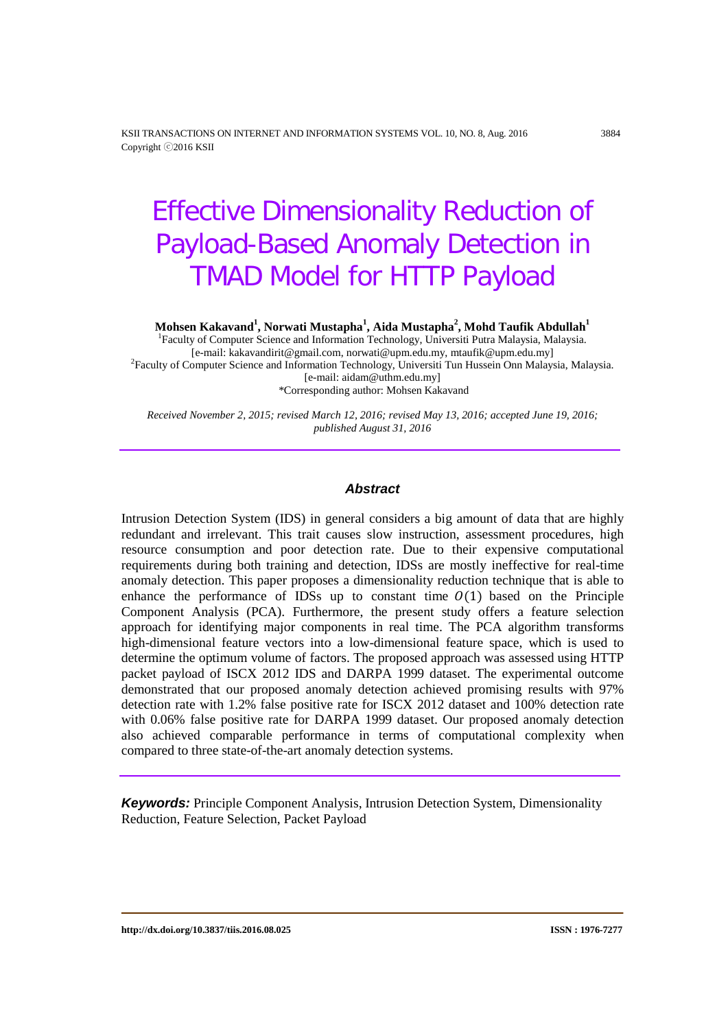KSII TRANSACTIONS ON INTERNET AND INFORMATION SYSTEMS VOL. 10, NO. 8, Aug. 2016 3884 Copyright ⓒ2016 KSII

# Effective Dimensionality Reduction of Payload-Based Anomaly Detection in TMAD Model for HTTP Payload

**Mohsen Kakavand1 , Norwati Mustapha<sup>1</sup> , Aida Mustapha<sup>2</sup> , Mohd Taufik Abdullah1**

<sup>1</sup>Faculty of Computer Science and Information Technology, Universiti Putra Malaysia, Malaysia. [e-mail: kakavandirit@gmail.com, norwati@upm.edu.my, mtaufik@upm.edu.my] <sup>2</sup> Faculty of Computer Science and Information Technology, Universiti Tun Hussein Onn Malaysia, Malaysia. [e-mail: aidam@uthm.edu.my] \*Corresponding author: Mohsen Kakavand

*Received November 2, 2015; revised March 12, 2016; revised May 13, 2016; accepted June 19, 2016; published August 31, 2016*

## *Abstract*

Intrusion Detection System (IDS) in general considers a big amount of data that are highly redundant and irrelevant. This trait causes slow instruction, assessment procedures, high resource consumption and poor detection rate. Due to their expensive computational requirements during both training and detection, IDSs are mostly ineffective for real-time anomaly detection. This paper proposes a dimensionality reduction technique that is able to enhance the performance of IDSs up to constant time  $O(1)$  based on the Principle Component Analysis (PCA). Furthermore, the present study offers a feature selection approach for identifying major components in real time. The PCA algorithm transforms high-dimensional feature vectors into a low-dimensional feature space, which is used to determine the optimum volume of factors. The proposed approach was assessed using HTTP packet payload of ISCX 2012 IDS and DARPA 1999 dataset. The experimental outcome demonstrated that our proposed anomaly detection achieved promising results with 97% detection rate with 1.2% false positive rate for ISCX 2012 dataset and 100% detection rate with 0.06% false positive rate for DARPA 1999 dataset. Our proposed anomaly detection also achieved comparable performance in terms of computational complexity when compared to three state-of-the-art anomaly detection systems.

*Keywords:* Principle Component Analysis, Intrusion Detection System, Dimensionality Reduction, Feature Selection, Packet Payload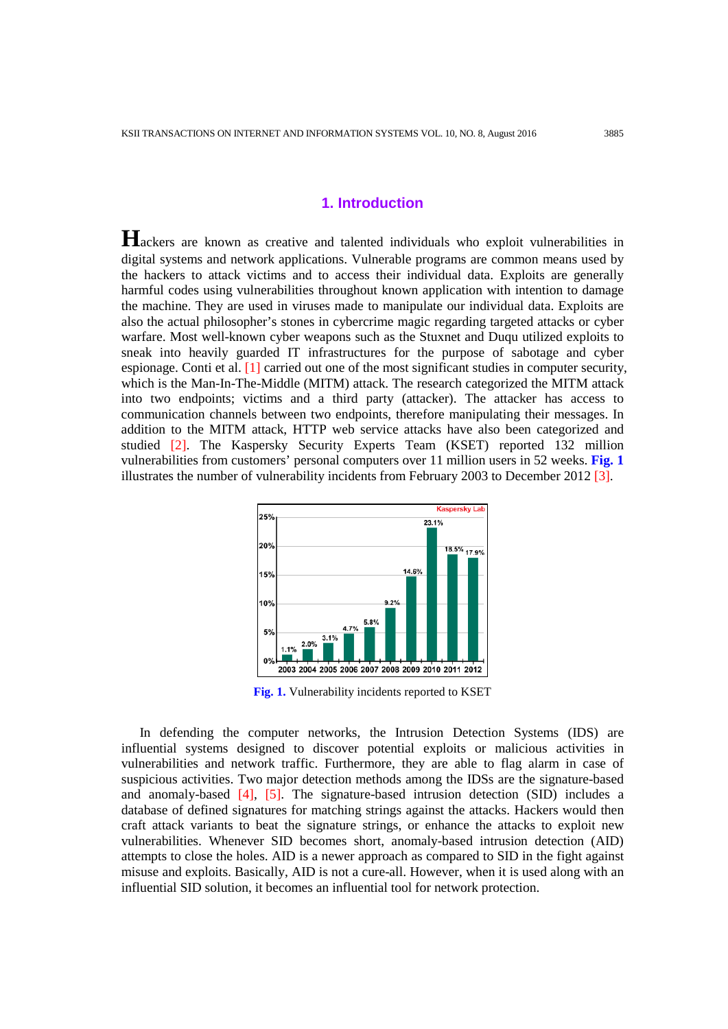## **1. Introduction**

**H**ackers are known as creative and talented individuals who exploit vulnerabilities in digital systems and network applications. Vulnerable programs are common means used by the hackers to attack victims and to access their individual data. Exploits are generally harmful codes using vulnerabilities throughout known application with intention to damage the machine. They are used in viruses made to manipulate our individual data. Exploits are also the actual philosopher's stones in cybercrime magic regarding targeted attacks or cyber warfare. Most well-known cyber weapons such as the Stuxnet and Duqu utilized exploits to sneak into heavily guarded IT infrastructures for the purpose of sabotage and cyber espionage. Conti et al. [1] carried out one of the most significant studies in computer security, which is the Man-In-The-Middle (MITM) attack. The research categorized the MITM attack into two endpoints; victims and a third party (attacker). The attacker has access to communication channels between two endpoints, therefore manipulating their messages. In addition to the MITM attack, HTTP web service attacks have also been categorized and studied [2]. The Kaspersky Security Experts Team (KSET) reported 132 million vulnerabilities from customers' personal computers over 11 million users in 52 weeks. **Fig. 1** illustrates the number of vulnerability incidents from February 2003 to December 2012 [3].



**Fig. 1.** Vulnerability incidents reported to KSET

In defending the computer networks, the Intrusion Detection Systems (IDS) are influential systems designed to discover potential exploits or malicious activities in vulnerabilities and network traffic. Furthermore, they are able to flag alarm in case of suspicious activities. Two major detection methods among the IDSs are the signature-based and anomaly-based [4], [5]. The signature-based intrusion detection (SID) includes a database of defined signatures for matching strings against the attacks. Hackers would then craft attack variants to beat the signature strings, or enhance the attacks to exploit new vulnerabilities. Whenever SID becomes short, anomaly-based intrusion detection (AID) attempts to close the holes. AID is a newer approach as compared to SID in the fight against misuse and exploits. Basically, AID is not a cure-all. However, when it is used along with an influential SID solution, it becomes an influential tool for network protection.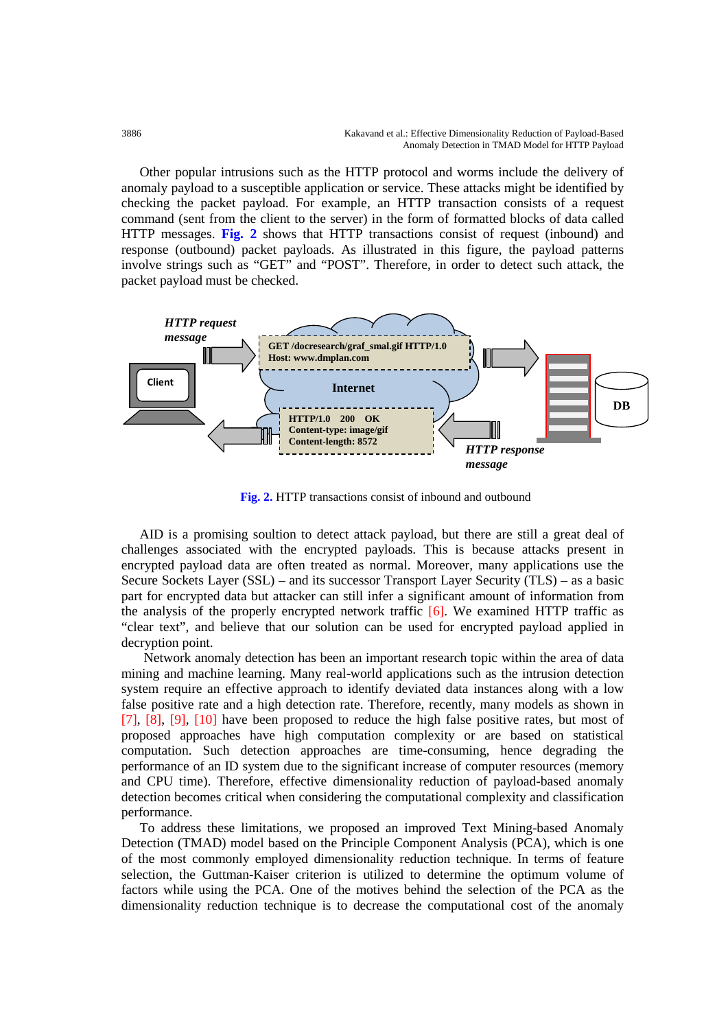Other popular intrusions such as the HTTP protocol and worms include the delivery of anomaly payload to a susceptible application or service. These attacks might be identified by checking the packet payload. For example, an HTTP transaction consists of a request command (sent from the client to the server) in the form of formatted blocks of data called HTTP messages. **Fig. 2** shows that HTTP transactions consist of request (inbound) and response (outbound) packet payloads. As illustrated in this figure, the payload patterns involve strings such as "GET" and "POST". Therefore, in order to detect such attack, the packet payload must be checked.



**Fig. 2.** HTTP transactions consist of inbound and outbound

AID is a promising soultion to detect attack payload, but there are still a great deal of challenges associated with the encrypted payloads. This is because attacks present in encrypted payload data are often treated as normal. Moreover, many applications use the Secure Sockets Layer (SSL) – and its successor Transport Layer Security (TLS) – as a basic part for encrypted data but attacker can still infer a significant amount of information from the analysis of the properly encrypted network traffic  $[6]$ . We examined HTTP traffic as "clear text", and believe that our solution can be used for encrypted payload applied in decryption point.

Network anomaly detection has been an important research topic within the area of data mining and machine learning. Many real-world applications such as the intrusion detection system require an effective approach to identify deviated data instances along with a low false positive rate and a high detection rate. Therefore, recently, many models as shown in [7], [8], [9], [10] have been proposed to reduce the high false positive rates, but most of proposed approaches have high computation complexity or are based on statistical computation. Such detection approaches are time-consuming, hence degrading the performance of an ID system due to the significant increase of computer resources (memory and CPU time). Therefore, effective dimensionality reduction of payload-based anomaly detection becomes critical when considering the computational complexity and classification performance.

To address these limitations, we proposed an improved Text Mining-based Anomaly Detection (TMAD) model based on the Principle Component Analysis (PCA), which is one of the most commonly employed dimensionality reduction technique. In terms of feature selection, the Guttman-Kaiser criterion is utilized to determine the optimum volume of factors while using the PCA. One of the motives behind the selection of the PCA as the dimensionality reduction technique is to decrease the computational cost of the anomaly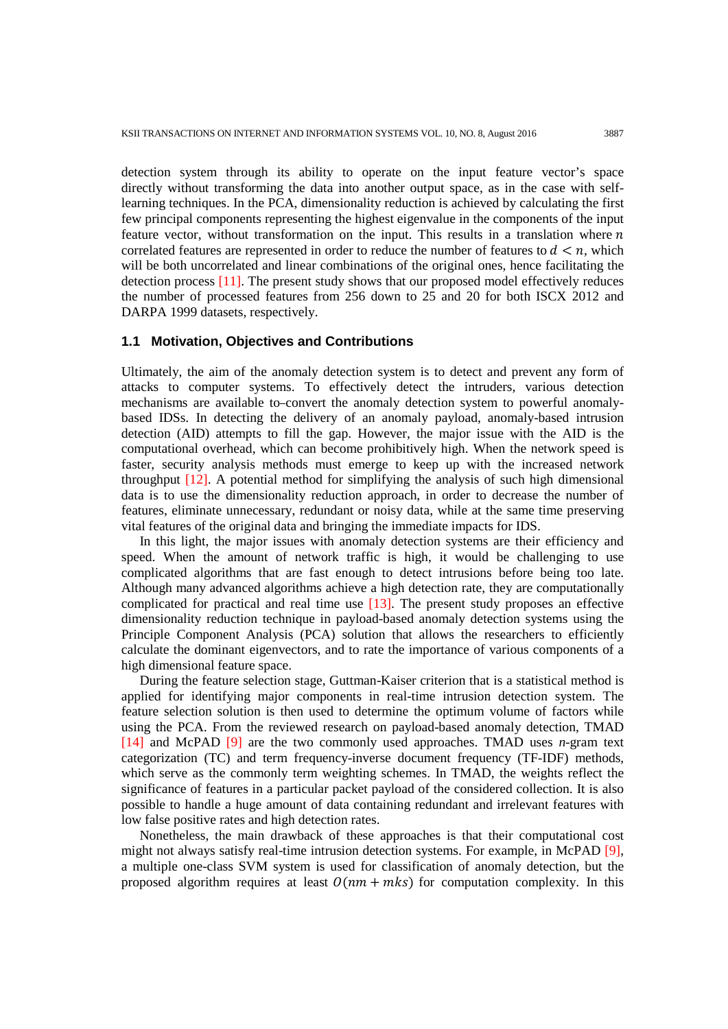detection system through its ability to operate on the input feature vector's space directly without transforming the data into another output space, as in the case with selflearning techniques. In the PCA, dimensionality reduction is achieved by calculating the first few principal components representing the highest eigenvalue in the components of the input feature vector, without transformation on the input. This results in a translation where  $n$ correlated features are represented in order to reduce the number of features to  $d \leq n$ , which will be both uncorrelated and linear combinations of the original ones, hence facilitating the detection process [11]. The present study shows that our proposed model effectively reduces the number of processed features from 256 down to 25 and 20 for both ISCX 2012 and DARPA 1999 datasets, respectively.

### **1.1 Motivation, Objectives and Contributions**

Ultimately, the aim of the anomaly detection system is to detect and prevent any form of attacks to computer systems. To effectively detect the intruders, various detection mechanisms are available to-convert the anomaly detection system to powerful anomalybased IDSs. In detecting the delivery of an anomaly payload, anomaly-based intrusion detection (AID) attempts to fill the gap. However, the major issue with the AID is the computational overhead, which can become prohibitively high. When the network speed is faster, security analysis methods must emerge to keep up with the increased network throughput [12]. A potential method for simplifying the analysis of such high dimensional data is to use the dimensionality reduction approach, in order to decrease the number of features, eliminate unnecessary, redundant or noisy data, while at the same time preserving vital features of the original data and bringing the immediate impacts for IDS.

In this light, the major issues with anomaly detection systems are their efficiency and speed. When the amount of network traffic is high, it would be challenging to use complicated algorithms that are fast enough to detect intrusions before being too late. Although many advanced algorithms achieve a high detection rate, they are computationally complicated for practical and real time use  $[13]$ . The present study proposes an effective dimensionality reduction technique in payload-based anomaly detection systems using the Principle Component Analysis (PCA) solution that allows the researchers to efficiently calculate the dominant eigenvectors, and to rate the importance of various components of a high dimensional feature space.

During the feature selection stage, Guttman-Kaiser criterion that is a statistical method is applied for identifying major components in real-time intrusion detection system. The feature selection solution is then used to determine the optimum volume of factors while using the PCA. From the reviewed research on payload-based anomaly detection, TMAD [14] and McPAD [9] are the two commonly used approaches. TMAD uses *n*-gram text categorization (TC) and term frequency-inverse document frequency (TF-IDF) methods, which serve as the commonly term weighting schemes. In TMAD, the weights reflect the significance of features in a particular packet payload of the considered collection. It is also possible to handle a huge amount of data containing redundant and irrelevant features with low false positive rates and high detection rates.

Nonetheless, the main drawback of these approaches is that their computational cost might not always satisfy real-time intrusion detection systems. For example, in McPAD [9], a multiple one-class SVM system is used for classification of anomaly detection, but the proposed algorithm requires at least  $O(nm + mk)$  for computation complexity. In this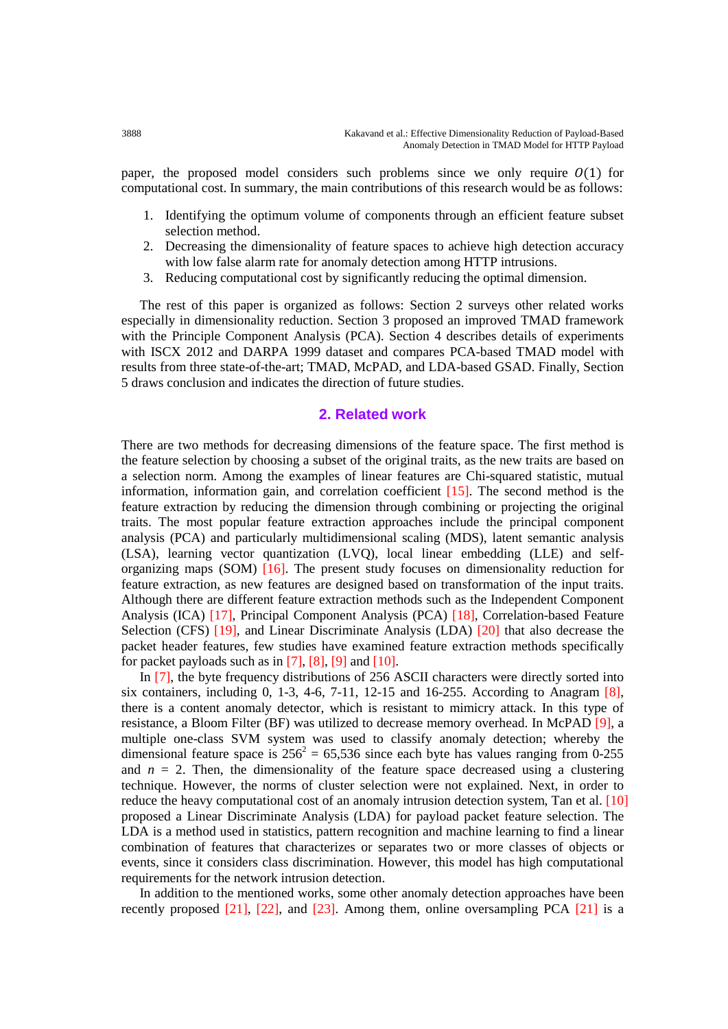paper, the proposed model considers such problems since we only require  $O(1)$  for computational cost. In summary, the main contributions of this research would be as follows:

- 1. Identifying the optimum volume of components through an efficient feature subset selection method.
- 2. Decreasing the dimensionality of feature spaces to achieve high detection accuracy with low false alarm rate for anomaly detection among HTTP intrusions.
- 3. Reducing computational cost by significantly reducing the optimal dimension.

The rest of this paper is organized as follows: Section 2 surveys other related works especially in dimensionality reduction. Section 3 proposed an improved TMAD framework with the Principle Component Analysis (PCA). Section 4 describes details of experiments with ISCX 2012 and DARPA 1999 dataset and compares PCA-based TMAD model with results from three state-of-the-art; TMAD, McPAD, and LDA-based GSAD. Finally, Section 5 draws conclusion and indicates the direction of future studies.

## **2. Related work**

There are two methods for decreasing dimensions of the feature space. The first method is the feature selection by choosing a subset of the original traits, as the new traits are based on a selection norm. Among the examples of linear features are Chi-squared statistic, mutual information, information gain, and correlation coefficient [15]. The second method is the feature extraction by reducing the dimension through combining or projecting the original traits. The most popular feature extraction approaches include the principal component analysis (PCA) and particularly multidimensional scaling (MDS), latent semantic analysis (LSA), learning vector quantization (LVQ), local linear embedding (LLE) and selforganizing maps (SOM)  $[16]$ . The present study focuses on dimensionality reduction for feature extraction, as new features are designed based on transformation of the input traits. Although there are different feature extraction methods such as the Independent Component Analysis (ICA) [17], Principal Component Analysis (PCA) [18], Correlation-based Feature Selection (CFS) [19], and Linear Discriminate Analysis (LDA) [20] that also decrease the packet header features, few studies have examined feature extraction methods specifically for packet payloads such as in  $[7]$ ,  $[8]$ ,  $[9]$  and  $[10]$ .

In [7], the byte frequency distributions of 256 ASCII characters were directly sorted into six containers, including 0, 1-3, 4-6, 7-11, 12-15 and 16-255. According to Anagram  $[8]$ , there is a content anomaly detector, which is resistant to mimicry attack. In this type of resistance, a Bloom Filter (BF) was utilized to decrease memory overhead. In McPAD [9], a multiple one-class SVM system was used to classify anomaly detection; whereby the dimensional feature space is  $256^2 = 65,536$  since each byte has values ranging from 0-255 and  $n = 2$ . Then, the dimensionality of the feature space decreased using a clustering technique. However, the norms of cluster selection were not explained. Next, in order to reduce the heavy computational cost of an anomaly intrusion detection system, Tan et al. [10] proposed a Linear Discriminate Analysis (LDA) for payload packet feature selection. The LDA is a method used in statistics, pattern recognition and machine learning to find a linear combination of features that characterizes or separates two or more classes of objects or events, since it considers class discrimination. However, this model has high computational requirements for the network intrusion detection.

In addition to the mentioned works, some other anomaly detection approaches have been recently proposed  $[21]$ ,  $[22]$ , and  $[23]$ . Among them, online oversampling PCA  $[21]$  is a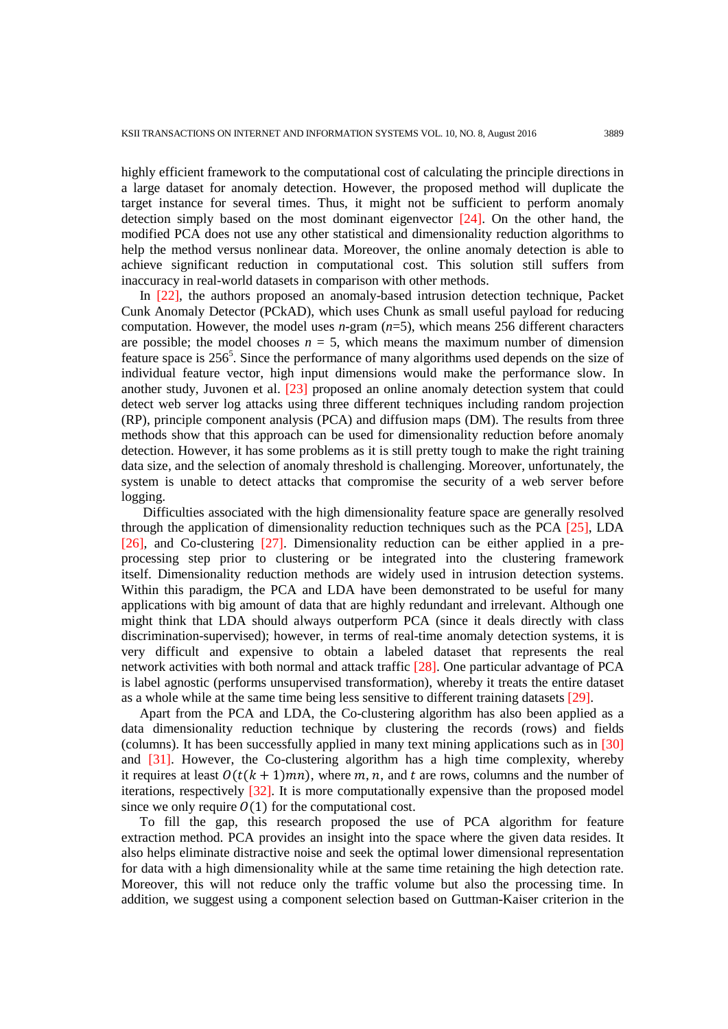highly efficient framework to the computational cost of calculating the principle directions in a large dataset for anomaly detection. However, the proposed method will duplicate the target instance for several times. Thus, it might not be sufficient to perform anomaly detection simply based on the most dominant eigenvector [24]. On the other hand, the modified PCA does not use any other statistical and dimensionality reduction algorithms to help the method versus nonlinear data. Moreover, the online anomaly detection is able to achieve significant reduction in computational cost. This solution still suffers from inaccuracy in real-world datasets in comparison with other methods.

In [22], the authors proposed an anomaly-based intrusion detection technique, Packet Cunk Anomaly Detector (PCkAD), which uses Chunk as small useful payload for reducing computation. However, the model uses *n*-gram (*n*=5), which means 256 different characters are possible; the model chooses  $n = 5$ , which means the maximum number of dimension feature space is  $256<sup>5</sup>$ . Since the performance of many algorithms used depends on the size of individual feature vector, high input dimensions would make the performance slow. In another study, Juvonen et al. [23] proposed an online anomaly detection system that could detect web server log attacks using three different techniques including random projection (RP), principle component analysis (PCA) and diffusion maps (DM). The results from three methods show that this approach can be used for dimensionality reduction before anomaly detection. However, it has some problems as it is still pretty tough to make the right training data size, and the selection of anomaly threshold is challenging. Moreover, unfortunately, the system is unable to detect attacks that compromise the security of a web server before logging.

Difficulties associated with the high dimensionality feature space are generally resolved through the application of dimensionality reduction techniques such as the PCA [25], LDA [26], and Co-clustering [27]. Dimensionality reduction can be either applied in a preprocessing step prior to clustering or be integrated into the clustering framework itself. Dimensionality reduction methods are widely used in intrusion detection systems. Within this paradigm, the PCA and LDA have been demonstrated to be useful for many applications with big amount of data that are highly redundant and irrelevant. Although one might think that LDA should always outperform PCA (since it deals directly with class discrimination-supervised); however, in terms of real-time anomaly detection systems, it is very difficult and expensive to obtain a labeled dataset that represents the real network activities with both normal and attack traffic [28]. One particular advantage of PCA is label agnostic (performs unsupervised transformation), whereby it treats the entire dataset as a whole while at the same time being less sensitive to different training datasets [29].

Apart from the PCA and LDA, the Co-clustering algorithm has also been applied as a data dimensionality reduction technique by clustering the records (rows) and fields (columns). It has been successfully applied in many text mining applications such as in [30] and [31]. However, the Co-clustering algorithm has a high time complexity, whereby it requires at least  $O(t(k + 1)mn)$ , where m, n, and t are rows, columns and the number of iterations, respectively [32]. It is more computationally expensive than the proposed model since we only require  $O(1)$  for the computational cost.

To fill the gap, this research proposed the use of PCA algorithm for feature extraction method. PCA provides an insight into the space where the given data resides. It also helps eliminate distractive noise and seek the optimal lower dimensional representation for data with a high dimensionality while at the same time retaining the high detection rate. Moreover, this will not reduce only the traffic volume but also the processing time. In addition, we suggest using a component selection based on Guttman-Kaiser criterion in the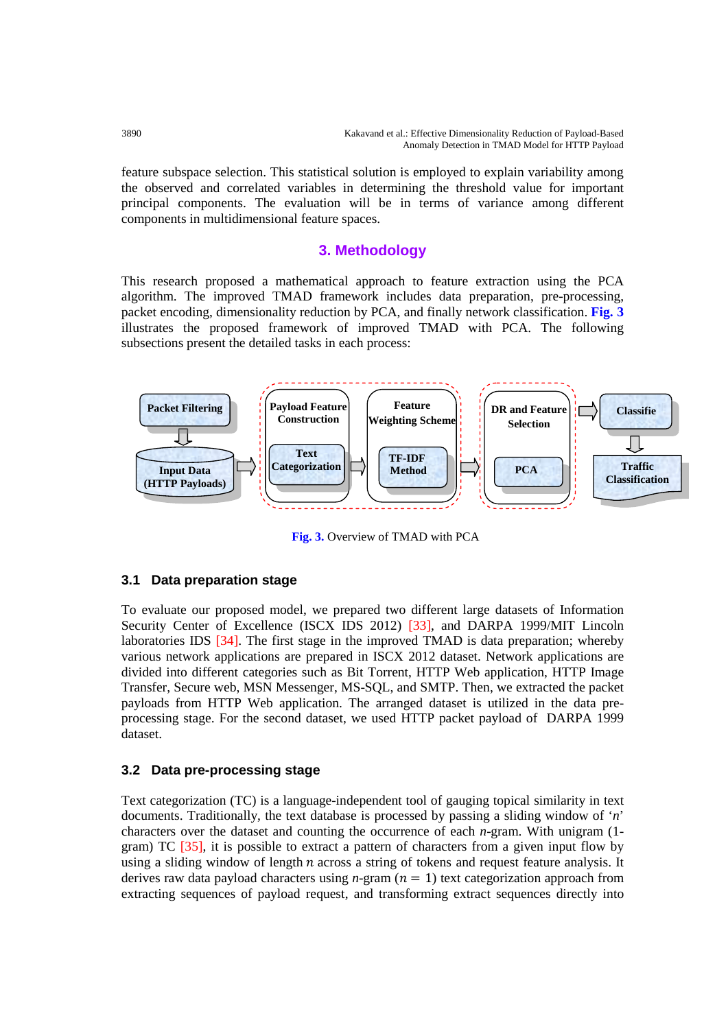feature subspace selection. This statistical solution is employed to explain variability among the observed and correlated variables in determining the threshold value for important principal components. The evaluation will be in terms of variance among different components in multidimensional feature spaces.

# **3. Methodology**

This research proposed a mathematical approach to feature extraction using the PCA algorithm. The improved TMAD framework includes data preparation, pre-processing, packet encoding, dimensionality reduction by PCA, and finally network classification. **Fig. 3** illustrates the proposed framework of improved TMAD with PCA. The following subsections present the detailed tasks in each process:



**Fig. 3.** Overview of TMAD with PCA

## **3.1 Data preparation stage**

To evaluate our proposed model, we prepared two different large datasets of Information Security Center of Excellence (ISCX IDS 2012) [33], and DARPA 1999/MIT Lincoln laboratories IDS [34]. The first stage in the improved TMAD is data preparation; whereby various network applications are prepared in ISCX 2012 dataset. Network applications are divided into different categories such as Bit Torrent, HTTP Web application, HTTP Image Transfer, Secure web, MSN Messenger, MS-SQL, and SMTP. Then, we extracted the packet payloads from HTTP Web application. The arranged dataset is utilized in the data preprocessing stage. For the second dataset, we used HTTP packet payload of DARPA 1999 dataset.

## **3.2 Data pre-processing stage**

Text categorization (TC) is a language-independent tool of gauging topical similarity in text documents. Traditionally, the text database is processed by passing a sliding window of '*n*' characters over the dataset and counting the occurrence of each *n*-gram. With unigram (1 gram) TC [35], it is possible to extract a pattern of characters from a given input flow by using a sliding window of length  $n$  across a string of tokens and request feature analysis. It derives raw data payload characters using  $n$ -gram ( $n = 1$ ) text categorization approach from extracting sequences of payload request, and transforming extract sequences directly into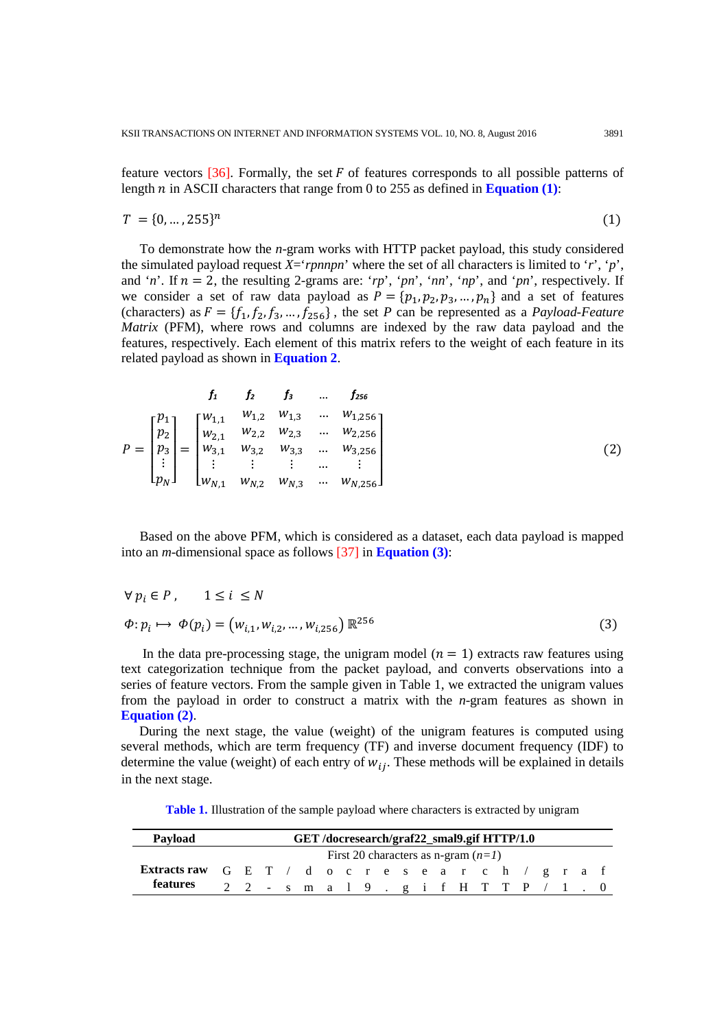feature vectors  $[36]$ . Formally, the set F of features corresponds to all possible patterns of length  $n$  in ASCII characters that range from 0 to 255 as defined in **Equation (1)**:

$$
T = \{0, \ldots, 255\}^n \tag{1}
$$

To demonstrate how the *n*-gram works with HTTP packet payload, this study considered the simulated payload request  $X = 'pnnpn'$  where the set of all characters is limited to '*r*', '*p*', and '*n*'. If  $n = 2$ , the resulting 2-grams are: '*rp*', '*pn*', '*nn*', '*np*', and '*pn*', respectively. If we consider a set of raw data payload as  $P = \{p_1, p_2, p_3, ..., p_n\}$  and a set of features (characters) as  $F = \{f_1, f_2, f_3, ..., f_{256}\}\$ , the set *P* can be represented as a *Payload-Feature Matrix* (PFM), where rows and columns are indexed by the raw data payload and the features, respectively. Each element of this matrix refers to the weight of each feature in its related payload as shown in **Equation 2**.

$$
P = \begin{bmatrix} p_1 \\ p_2 \\ p_3 \\ \vdots \\ p_N \end{bmatrix} = \begin{bmatrix} w_{1,1} & w_{1,2} & w_{1,3} & \dots & w_{1,256} \\ w_{2,1} & w_{2,2} & w_{2,3} & \dots & w_{2,256} \\ w_{3,1} & w_{3,2} & w_{3,3} & \dots & w_{3,256} \\ \vdots & \vdots & \vdots & \dots & \vdots \\ w_{N,1} & w_{N,2} & w_{N,3} & \dots & w_{N,256} \end{bmatrix}
$$
 (2)

Based on the above PFM, which is considered as a dataset, each data payload is mapped into an *m*-dimensional space as follows [37] in **Equation (3)**:

$$
\forall p_i \in P, \quad 1 \le i \le N
$$
  
\n $\Phi: p_i \mapsto \Phi(p_i) = (w_{i,1}, w_{i,2}, ..., w_{i,256}) \mathbb{R}^{256}$  (3)

In the data pre-processing stage, the unigram model  $(n = 1)$  extracts raw features using text categorization technique from the packet payload, and converts observations into a series of feature vectors. From the sample given in Table 1, we extracted the unigram values from the payload in order to construct a matrix with the *n*-gram features as shown in **Equation (2)**.

During the next stage, the value (weight) of the unigram features is computed using several methods, which are term frequency (TF) and inverse document frequency (IDF) to determine the value (weight) of each entry of  $w_{ij}$ . These methods will be explained in details in the next stage.

**Table 1.** Illustration of the sample payload where characters is extracted by unigram

| Payload                                              | GET /docresearch/graf22_smal9.gif HTTP/1.0 |  |  |  |                                             |  |  |  |  |  |  |  |  |  |
|------------------------------------------------------|--------------------------------------------|--|--|--|---------------------------------------------|--|--|--|--|--|--|--|--|--|
|                                                      | First 20 characters as n-gram $(n=1)$      |  |  |  |                                             |  |  |  |  |  |  |  |  |  |
| Extracts raw G E T / d o c r e s e a r c h / g r a f |                                            |  |  |  |                                             |  |  |  |  |  |  |  |  |  |
| features                                             |                                            |  |  |  | $2$ 2 - s m a 1 9 . g i f H T T P $/$ 1 . 0 |  |  |  |  |  |  |  |  |  |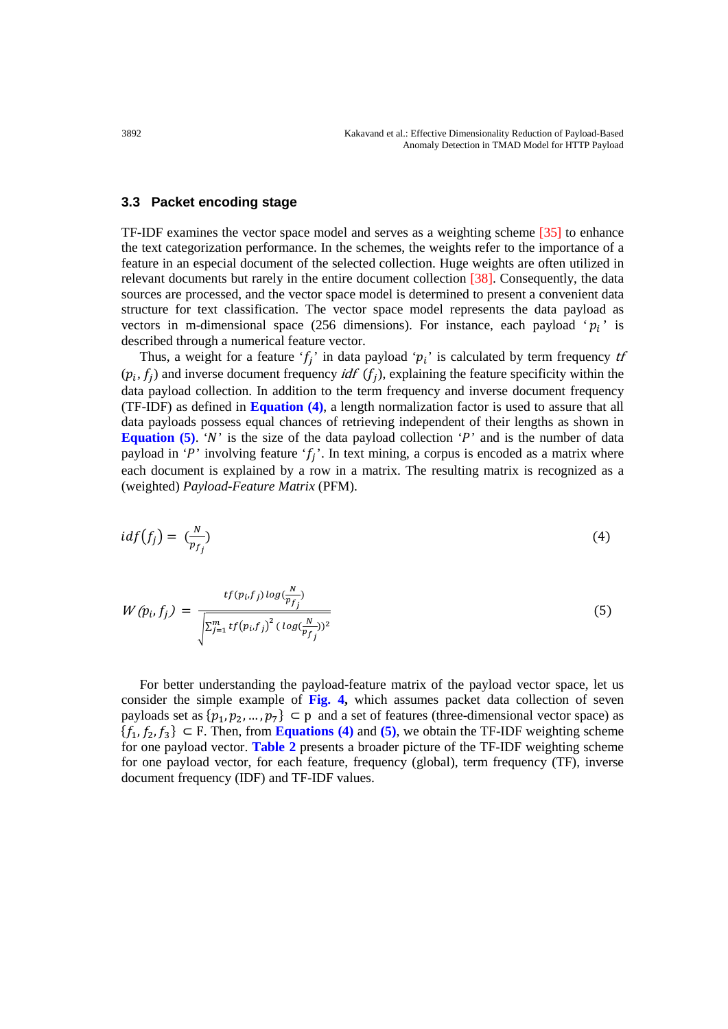#### **3.3 Packet encoding stage**

TF-IDF examines the vector space model and serves as a weighting scheme [35] to enhance the text categorization performance. In the schemes, the weights refer to the importance of a feature in an especial document of the selected collection. Huge weights are often utilized in relevant documents but rarely in the entire document collection [38]. Consequently, the data sources are processed, and the vector space model is determined to present a convenient data structure for text classification. The vector space model represents the data payload as vectors in m-dimensional space (256 dimensions). For instance, each payload ' $p_i$ ' is described through a numerical feature vector.

Thus, a weight for a feature ' $f_j$ ' in data payload ' $p_i$ ' is calculated by term frequency tf  $(p_i, f_i)$  and inverse document frequency *idf*  $(f_i)$ , explaining the feature specificity within the data payload collection. In addition to the term frequency and inverse document frequency (TF-IDF) as defined in **Equation (4)**, a length normalization factor is used to assure that all data payloads possess equal chances of retrieving independent of their lengths as shown in **Equation (5).** 'N' is the size of the data payload collection 'P' and is the number of data payload in 'P' involving feature ' $f_i$ '. In text mining, a corpus is encoded as a matrix where each document is explained by a row in a matrix. The resulting matrix is recognized as a (weighted) *Payload-Feature Matrix* (PFM).

$$
idf(f_j) = \left(\frac{N}{p_{f_j}}\right) \tag{4}
$$

$$
W(p_i, f_j) = \frac{tf(p_i, f_j) \log(\frac{N}{p_f})}{\sqrt{\sum_{j=1}^m tf(p_i, f_j)^2 (\log(\frac{N}{p_f}))^2}}
$$
\n
$$
(5)
$$

For better understanding the payload-feature matrix of the payload vector space, let us consider the simple example of **Fig. 4,** which assumes packet data collection of seven payloads set as  $\{p_1, p_2, ..., p_7\} \subset p$  and a set of features (three-dimensional vector space) as  ${f_1, f_2, f_3} \subset F$ . Then, from **Equations (4)** and (5), we obtain the TF-IDF weighting scheme for one payload vector. **Table 2** presents a broader picture of the TF-IDF weighting scheme for one payload vector, for each feature, frequency (global), term frequency (TF), inverse document frequency (IDF) and TF-IDF values.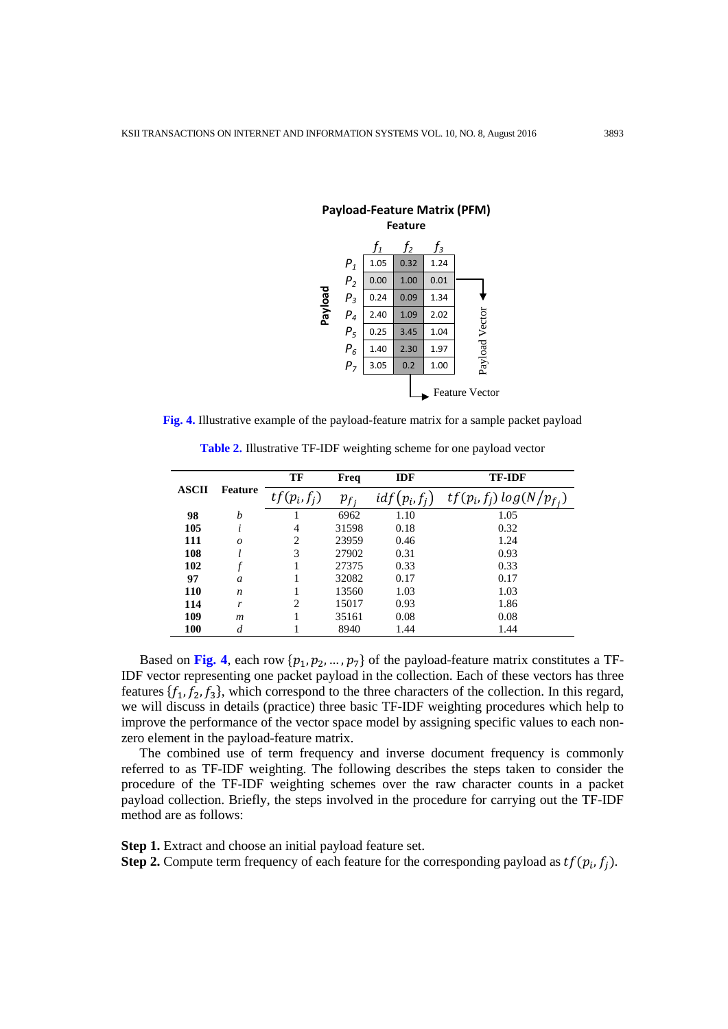

|                         |                | TF             | Freq                | <b>IDF</b>             | <b>TF-IDF</b> |
|-------------------------|----------------|----------------|---------------------|------------------------|---------------|
| <b>ASCII</b><br>Feature | $tf(p_i, f_i)$ | $p_{f_i}$      | $(p_i, f_i)$<br>idf | $tf(p_i, f_j) \log(N)$ |               |
| 98                      | h              |                | 6962                | 1.10                   | 1.05          |
| 105                     |                | 4              | 31598               | 0.18                   | 0.32          |
| 111                     | $\theta$       | 2              | 23959               | 0.46                   | 1.24          |
| 108                     |                | 3              | 27902               | 0.31                   | 0.93          |
| 102                     |                |                | 27375               | 0.33                   | 0.33          |
| 97                      | $\mathfrak{a}$ |                | 32082               | 0.17                   | 0.17          |
| <b>110</b>              | n              |                | 13560               | 1.03                   | 1.03          |
| 114                     | r              | $\mathfrak{D}$ | 15017               | 0.93                   | 1.86          |
| 109                     | $\mathfrak{m}$ |                | 35161               | 0.08                   | 0.08          |
| 100                     | d              |                | 8940                | 1.44                   | 1.44          |

**Table 2.** Illustrative TF-IDF weighting scheme for one payload vector

**Fig. 4.** Illustrative example of the payload-feature matrix for a sample packet payload

Based on Fig. 4, each row  $\{p_1, p_2, ..., p_7\}$  of the payload-feature matrix constitutes a TF-IDF vector representing one packet payload in the collection. Each of these vectors has three features  $\{f_1, f_2, f_3\}$ , which correspond to the three characters of the collection. In this regard, we will discuss in details (practice) three basic TF-IDF weighting procedures which help to improve the performance of the vector space model by assigning specific values to each nonzero element in the payload-feature matrix.

The combined use of term frequency and inverse document frequency is commonly referred to as TF-IDF weighting. The following describes the steps taken to consider the procedure of the TF-IDF weighting schemes over the raw character counts in a packet payload collection. Briefly, the steps involved in the procedure for carrying out the TF-IDF method are as follows:

**Step 1.** Extract and choose an initial payload feature set.

**Step 2.** Compute term frequency of each feature for the corresponding payload as  $tf(p_i, f_i)$ .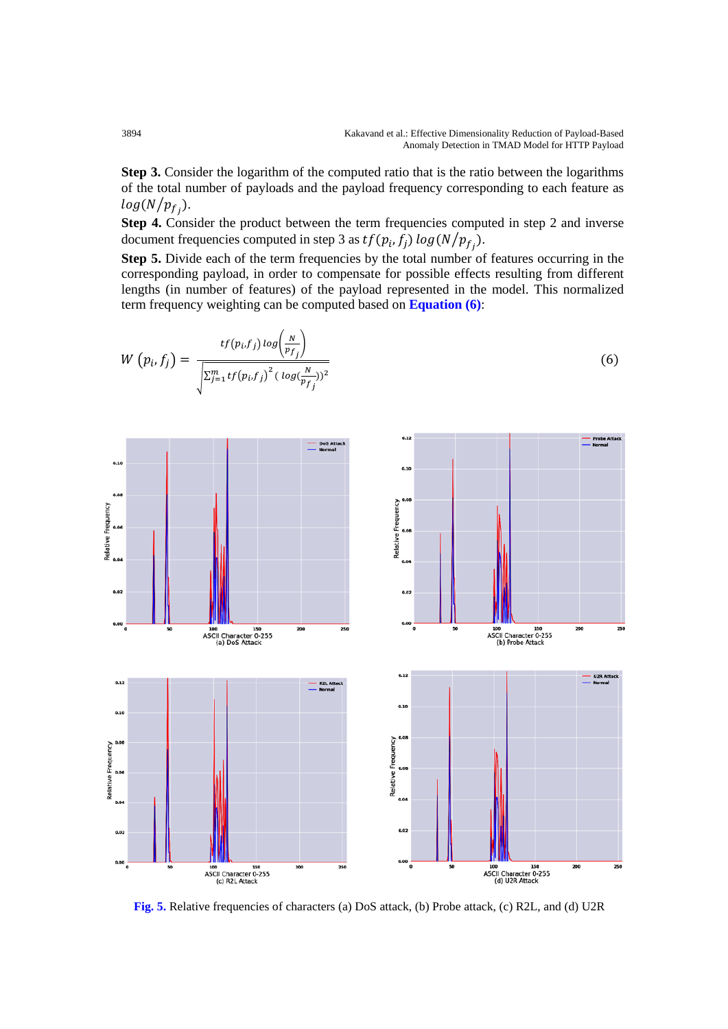**Step 3.** Consider the logarithm of the computed ratio that is the ratio between the logarithms of the total number of payloads and the payload frequency corresponding to each feature as  $log(N/p_{fi}).$ 

**Step 4.** Consider the product between the term frequencies computed in step 2 and inverse document frequencies computed in step 3 as  $tf(p_i, f_j) \log(N/p_f)$ .

**Step 5.** Divide each of the term frequencies by the total number of features occurring in the corresponding payload, in order to compensate for possible effects resulting from different lengths (in number of features) of the payload represented in the model. This normalized term frequency weighting can be computed based on **Equation (6)**:



**Fig. 5.** Relative frequencies of characters (a) DoS attack, (b) Probe attack, (c) R2L, and (d) U2R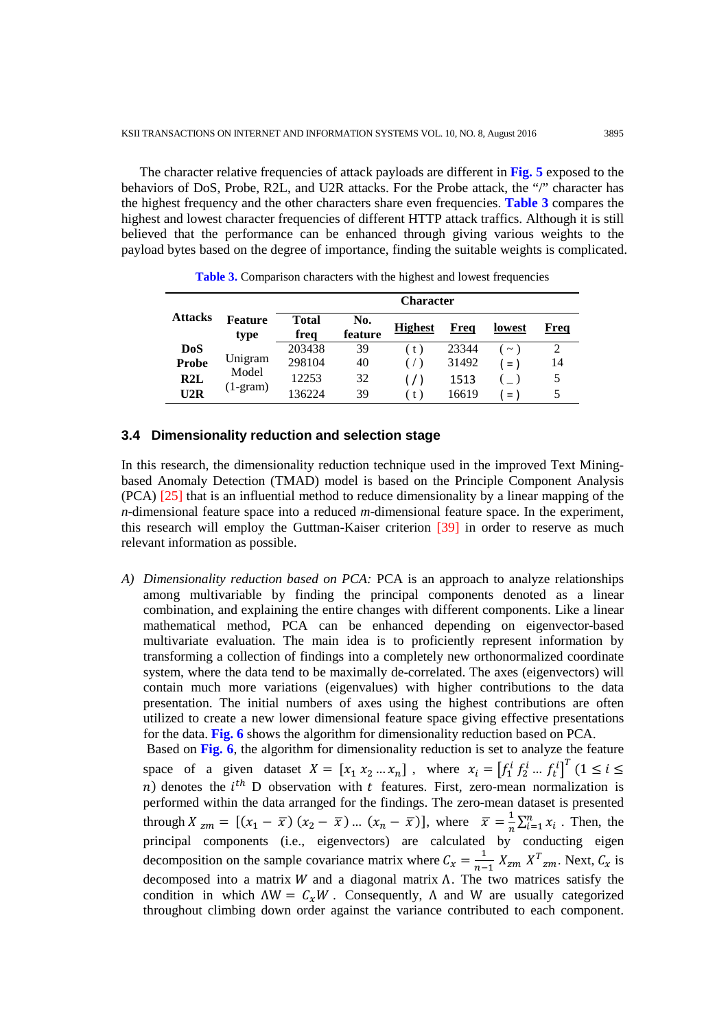The character relative frequencies of attack payloads are different in **Fig. 5** exposed to the behaviors of DoS, Probe, R2L, and U2R attacks. For the Probe attack, the "/" character has the highest frequency and the other characters share even frequencies. **Table 3** compares the highest and lowest character frequencies of different HTTP attack traffics. Although it is still believed that the performance can be enhanced through giving various weights to the payload bytes based on the degree of importance, finding the suitable weights is complicated.

| <b>Character</b> |                        |               |                |                |       |                    |      |
|------------------|------------------------|---------------|----------------|----------------|-------|--------------------|------|
| <b>Attacks</b>   | <b>Feature</b><br>type | Total<br>freq | No.<br>feature | <b>Highest</b> | Freq  | lowest             | Freq |
| <b>DoS</b>       |                        | 203438        | 39             | (t)            | 23344 | $\thicksim$        |      |
| <b>Probe</b>     | Unigram                | 298104        | 40             | $($ $/$ $)$    | 31492 | $=$ $\overline{)}$ | 14   |
| R2L              | Model                  | 12253         | 32             | $($ / $)$      | 1513  |                    | 5    |
| U2R              | $(1-gram)$             | 136224        | 39             | (t)            | 16619 | $=$                | 5    |

**Table 3.** Comparison characters with the highest and lowest frequencies

## **3.4 Dimensionality reduction and selection stage**

In this research, the dimensionality reduction technique used in the improved Text Miningbased Anomaly Detection (TMAD) model is based on the Principle Component Analysis (PCA) [25] that is an influential method to reduce dimensionality by a linear mapping of the *n*-dimensional feature space into a reduced *m*-dimensional feature space. In the experiment, this research will employ the Guttman-Kaiser criterion [39] in order to reserve as much relevant information as possible.

*A) Dimensionality reduction based on PCA:* PCA is an approach to analyze relationships among multivariable by finding the principal components denoted as a linear combination, and explaining the entire changes with different components. Like a linear mathematical method, PCA can be enhanced depending on eigenvector-based multivariate evaluation. The main idea is to proficiently represent information by transforming a collection of findings into a completely new orthonormalized coordinate system, where the data tend to be maximally de-correlated. The axes (eigenvectors) will contain much more variations (eigenvalues) with higher contributions to the data presentation. The initial numbers of axes using the highest contributions are often utilized to create a new lower dimensional feature space giving effective presentations for the data. **Fig. 6** shows the algorithm for dimensionality reduction based on PCA.

Based on **Fig. 6**, the algorithm for dimensionality reduction is set to analyze the feature space of a given dataset  $X = [x_1 x_2 ... x_n]$ , where  $x_i = [f_1^i f_2^i ... f_t^i]^T (1 \le i \le n]$ *n*) denotes the  $i^{th}$  D observation with *t* features. First, zero-mean normalization is performed within the data arranged for the findings. The zero-mean dataset is presented through  $X_{zm} = [(x_1 - \overline{x}) (x_2 - \overline{x}) \dots (x_n - \overline{x})]$ , where  $\overline{x} = \frac{1}{n} \sum_{i=1}^n x_i$ . Then, the principal components (i.e., eigenvectors) are calculated by conducting eigen decomposition on the sample covariance matrix where  $C_x = \frac{1}{n-1} X_{zm} X^T_{zm}$ . Next,  $C_x$  is decomposed into a matrix  $W$  and a diagonal matrix  $\Lambda$ . The two matrices satisfy the condition in which  $\Lambda W = C_x W$ . Consequently,  $\Lambda$  and W are usually categorized throughout climbing down order against the variance contributed to each component.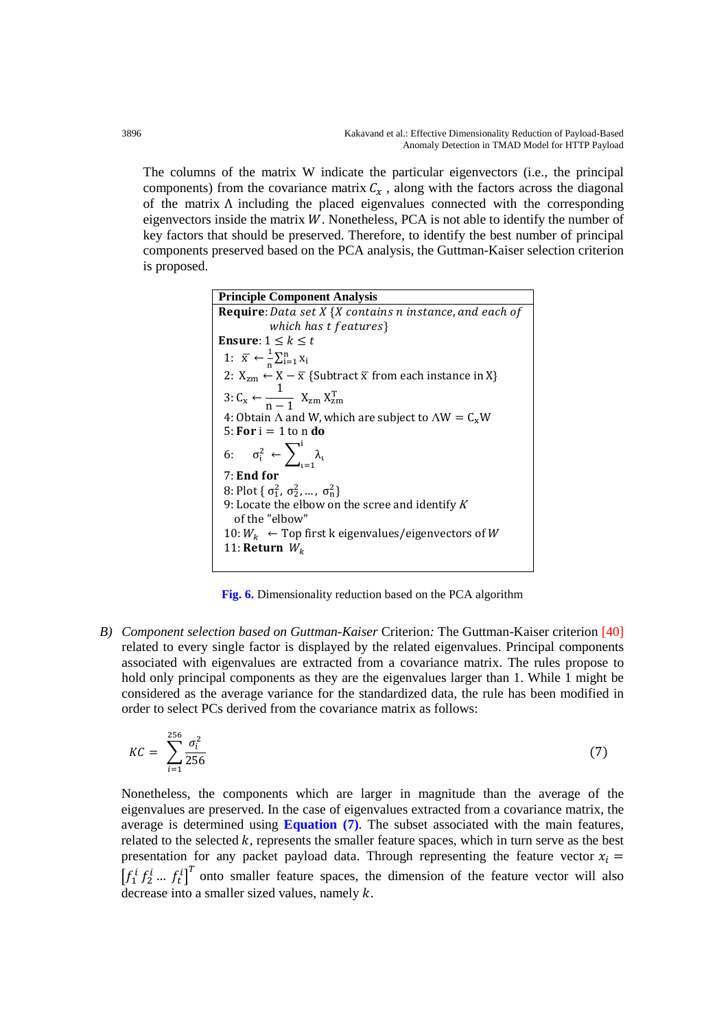The columns of the matrix W indicate the particular eigenvectors (i.e., the principal components) from the covariance matrix  $C_x$ , along with the factors across the diagonal of the matrix Λ including the placed eigenvalues connected with the corresponding eigenvectors inside the matrix  $W$ . Nonetheless, PCA is not able to identify the number of key factors that should be preserved. Therefore, to identify the best number of principal components preserved based on the PCA analysis, the Guttman-Kaiser selection criterion is proposed.

| <b>Principle Component Analysis</b>                                                       |
|-------------------------------------------------------------------------------------------|
| <b>Require</b> : Data set $X \{X \}$ contains n instance, and each of                     |
| which has t features}                                                                     |
| <b>Ensure</b> : $1 \leq k \leq t$                                                         |
| 1: $\overline{x} \leftarrow \frac{1}{n} \sum_{i=1}^n x_i$                                 |
| 2: $X_{zm} \leftarrow X - \overline{x}$ {Subtract $\overline{x}$ from each instance in X} |
| 3: $C_x \leftarrow \frac{1}{n-1} X_{zm} X_{zm}^T$                                         |
| 4: Obtain $\Lambda$ and W, which are subject to $\Lambda W = C_x W$                       |
| 5: For $i = 1$ to n do                                                                    |
| 6: $\sigma_i^2 \leftarrow \sum_{i=1}^i \lambda_i$                                         |
| 7: End for                                                                                |
| 8: Plot { $\sigma_1^2$ , $\sigma_2^2$ , , $\sigma_n^2$ }                                  |
| 9: Locate the elbow on the scree and identify $K$<br>of the "elbow"                       |
| 10: $W_k \leftarrow$ Top first k eigenvalues/eigenvectors of W                            |
| 11: Return $W_k$                                                                          |
|                                                                                           |

**Fig. 6.** Dimensionality reduction based on the PCA algorithm

*B) Component selection based on Guttman-Kaiser* Criterion*:* The Guttman-Kaiser criterion [40] related to every single factor is displayed by the related eigenvalues. Principal components associated with eigenvalues are extracted from a covariance matrix. The rules propose to hold only principal components as they are the eigenvalues larger than 1. While 1 might be considered as the average variance for the standardized data, the rule has been modified in order to select PCs derived from the covariance matrix as follows:

$$
KC = \sum_{i=1}^{256} \frac{\sigma_i^2}{256} \tag{7}
$$

Nonetheless, the components which are larger in magnitude than the average of the eigenvalues are preserved. In the case of eigenvalues extracted from a covariance matrix, the average is determined using **Equation (7)**. The subset associated with the main features, related to the selected  $k$ , represents the smaller feature spaces, which in turn serve as the best presentation for any packet payload data. Through representing the feature vector  $x_i =$  $\left[f_1^i f_2^i ... f_t^i\right]^T$  onto smaller feature spaces, the dimension of the feature vector will also decrease into a smaller sized values, namely  $k$ .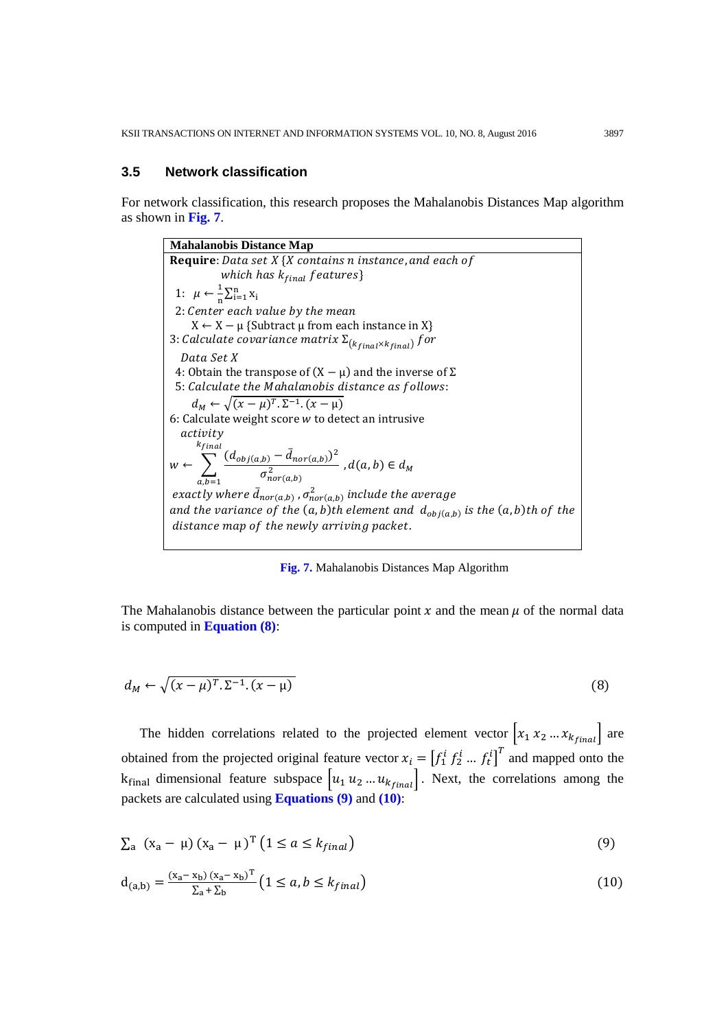#### **3.5 Network classification**

For network classification, this research proposes the Mahalanobis Distances Map algorithm as shown in **Fig. 7**.

**Mahalanobis Distance Map Require**: Data set  $X \{X \text{ contains } n \text{ instance}, \text{and each of } \}$ which has  $k_{final}$  features} 1:  $\mu \leftarrow \frac{1}{n} \sum_{i=1}^{n} x_i$ 2: Center each value by the mean  $X \leftarrow X - \mu$  {Subtract  $\mu$  from each instance in X} 3: Calculate covariance matrix  $\Sigma_{(k_{final}\times k_{final})}$  for Data Set X 4: Obtain the transpose of  $(X – \mu)$  and the inverse of  $\Sigma$ 5: Calculate the Mahalanobis distance as follows:  $d_M \leftarrow \sqrt{(x-\mu)^T \cdot \Sigma^{-1} \cdot (x-\mu)}$ 6: Calculate weight score  $w$  to detect an intrusive *activity*  $w \leftarrow \sum_{a} \frac{(d_{obj(a,b)} - d_{nor(a,b)})^2}{\sigma^2}$  $\sigma_{nor(a,b)}^2$ <sup>k</sup>final  $, b = 1$ ,  $d(a, b) \in d_M$ where  $\bar{d}_{nor(a,b)}$  ,  $\sigma_{nor(a,b)}^2$  include th and the variance of the  $(a, b)$ th element and  $d_{\text{obj}(a, b)}$  is the  $(a, b)$ th of the distance map of the newly arriving packet.

**Fig. 7.** Mahalanobis Distances Map Algorithm

The Mahalanobis distance between the particular point  $x$  and the mean  $\mu$  of the normal data is computed in **Equation (8)**:

$$
d_M \leftarrow \sqrt{(x - \mu)^T \cdot \Sigma^{-1} \cdot (x - \mu)}
$$
\n(8)

The hidden correlations related to the projected element vector  $\begin{bmatrix} x_1 & x_2 & \dots & x_{k_{final}} \end{bmatrix}$  are obtained from the projected original feature vector  $x_i = \left[f_1^i f_2^i ... f_t^i\right]^T$  and mapped onto the  $k_{final}$  dimensional feature subspace  $\left[u_1 \ u_2 \ ... \ u_{k_{final}}\right]$ . Next, the correlations among the packets are calculated using **Equations (9)** and **(10)**:

$$
\sum_{a} (x_a - \mu) (x_a - \mu)^T (1 \le a \le k_{final})
$$
\n(9)

$$
d_{(a,b)} = \frac{(x_a - x_b)(x_a - x_b)^T}{\sum_a + \sum_b} \left(1 \le a, b \le k_{final}\right)
$$
 (10)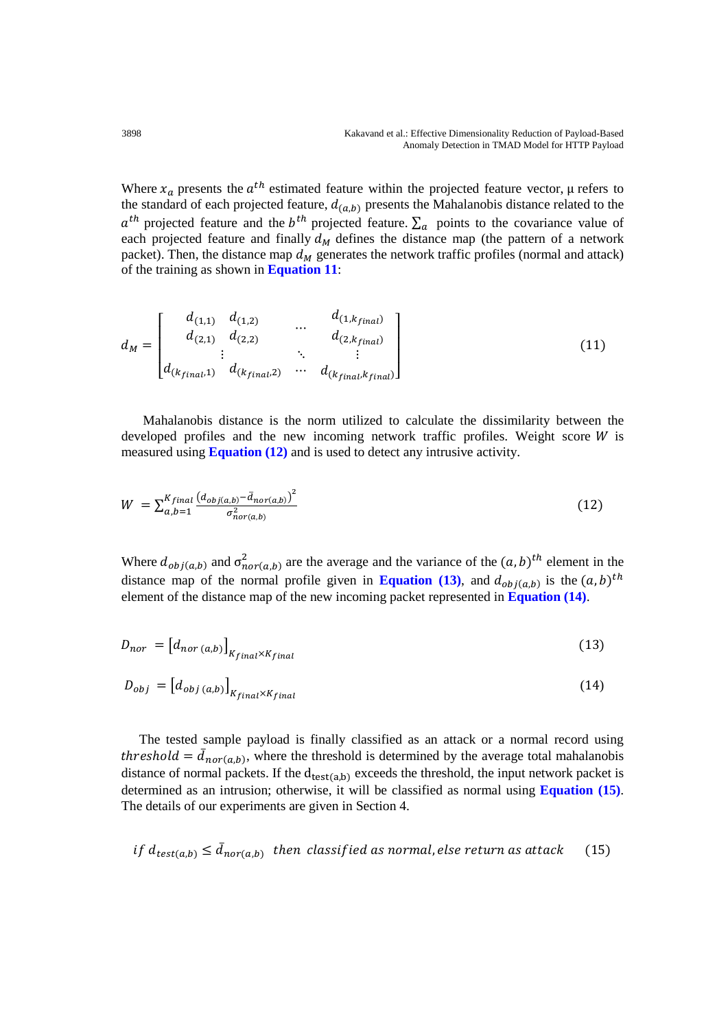Where  $x_a$  presents the  $a^{th}$  estimated feature within the projected feature vector,  $\mu$  refers to the standard of each projected feature,  $d_{(a,b)}$  presents the Mahalanobis distance related to the  $a^{th}$  projected feature and the  $b^{th}$  projected feature.  $\Sigma_a$  points to the covariance value of each projected feature and finally  $d_M$  defines the distance map (the pattern of a network packet). Then, the distance map  $d_M$  generates the network traffic profiles (normal and attack) of the training as shown in **Equation 11**:

$$
d_M = \begin{bmatrix} d_{(1,1)} & d_{(1,2)} & \dots & d_{(1,k_{final})} \\ d_{(2,1)} & d_{(2,2)} & & d_{(2,k_{final})} \\ \vdots & & \ddots & \vdots \\ d_{(k_{final},1)} & d_{(k_{final},2)} & \dots & d_{(k_{final},k_{final})} \end{bmatrix}
$$
(11)

Mahalanobis distance is the norm utilized to calculate the dissimilarity between the developed profiles and the new incoming network traffic profiles. Weight score  $W$  is measured using **Equation (12)** and is used to detect any intrusive activity.

$$
W = \sum_{a,b=1}^{K_{final}} \frac{\left(d_{obj(a,b)} - \bar{d}_{nor(a,b)}\right)^2}{\sigma_{nor(a,b)}^2}
$$
\n
$$
(12)
$$

Where  $d_{obj(a,b)}$  and  $\sigma_{nor(a,b)}^2$  are the average and the variance of the  $(a, b)^{th}$  element in the distance map of the normal profile given in **Equation (13)**, and  $d_{obj(a,b)}$  is the  $(a, b)^{th}$ element of the distance map of the new incoming packet represented in **Equation (14)**.

$$
D_{nor} = \left[d_{nor\ (a,b)}\right]_{K_{final} \times K_{final}}
$$
\n(13)

$$
D_{obj} = [d_{obj (a,b)}]_{K_{final} \times K_{final}}
$$
\n(14)

The tested sample payload is finally classified as an attack or a normal record using *threshold* =  $d_{nor(a,b)}$ , where the threshold is determined by the average total mahalanobis distance of normal packets. If the  $d_{test(a,b)}$  exceeds the threshold, the input network packet is determined as an intrusion; otherwise, it will be classified as normal using **Equation (15)**. The details of our experiments are given in Section 4.

if 
$$
d_{test(a,b)} \leq \bar{d}_{nor(a,b)}
$$
 then classified as normal, else return as attack (15)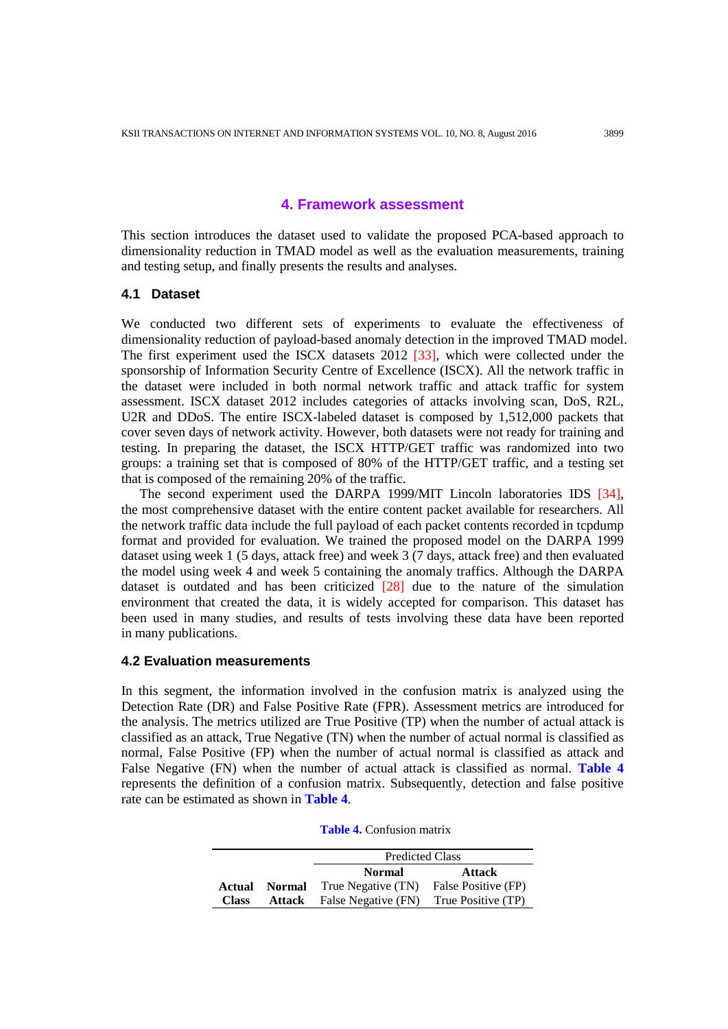## **4. Framework assessment**

This section introduces the dataset used to validate the proposed PCA-based approach to dimensionality reduction in TMAD model as well as the evaluation measurements, training and testing setup, and finally presents the results and analyses.

## **4.1 Dataset**

We conducted two different sets of experiments to evaluate the effectiveness of dimensionality reduction of payload-based anomaly detection in the improved TMAD model. The first experiment used the ISCX datasets 2012 [33], which were collected under the sponsorship of Information Security Centre of Excellence (ISCX). All the network traffic in the dataset were included in both normal network traffic and attack traffic for system assessment. ISCX dataset 2012 includes categories of attacks involving scan, DoS, R2L, U2R and DDoS. The entire ISCX-labeled dataset is composed by 1,512,000 packets that cover seven days of network activity. However, both datasets were not ready for training and testing. In preparing the dataset, the ISCX HTTP/GET traffic was randomized into two groups: a training set that is composed of 80% of the HTTP/GET traffic, and a testing set that is composed of the remaining 20% of the traffic.

The second experiment used the DARPA 1999/MIT Lincoln laboratories IDS [34], the most comprehensive dataset with the entire content packet available for researchers. All the network traffic data include the full payload of each packet contents recorded in tcpdump format and provided for evaluation. We trained the proposed model on the DARPA 1999 dataset using week 1 (5 days, attack free) and week  $3(7 \text{ days})$ , attack free) and then evaluated the model using week 4 and week 5 containing the anomaly traffics. Although the DARPA dataset is outdated and has been criticized [28] due to the nature of the simulation environment that created the data, it is widely accepted for comparison. This dataset has been used in many studies, and results of tests involving these data have been reported in many publications.

### **4.2 Evaluation measurements**

In this segment, the information involved in the confusion matrix is analyzed using the Detection Rate (DR) and False Positive Rate (FPR). Assessment metrics are introduced for the analysis. The metrics utilized are True Positive (TP) when the number of actual attack is classified as an attack, True Negative (TN) when the number of actual normal is classified as normal, False Positive (FP) when the number of actual normal is classified as attack and False Negative (FN) when the number of actual attack is classified as normal. **Table 4** represents the definition of a confusion matrix. Subsequently, detection and false positive rate can be estimated as shown in **Table 4**.

| <b>Table 4.</b> Confusion matrix |  |
|----------------------------------|--|
|----------------------------------|--|

|              |               | <b>Predicted Class</b>         |                     |  |  |  |  |
|--------------|---------------|--------------------------------|---------------------|--|--|--|--|
|              |               | <b>Normal</b><br><b>Attack</b> |                     |  |  |  |  |
| Actual       | <b>Normal</b> | True Negative (TN)             | False Positive (FP) |  |  |  |  |
| <b>Class</b> | Attack        | False Negative (FN)            | True Positive (TP)  |  |  |  |  |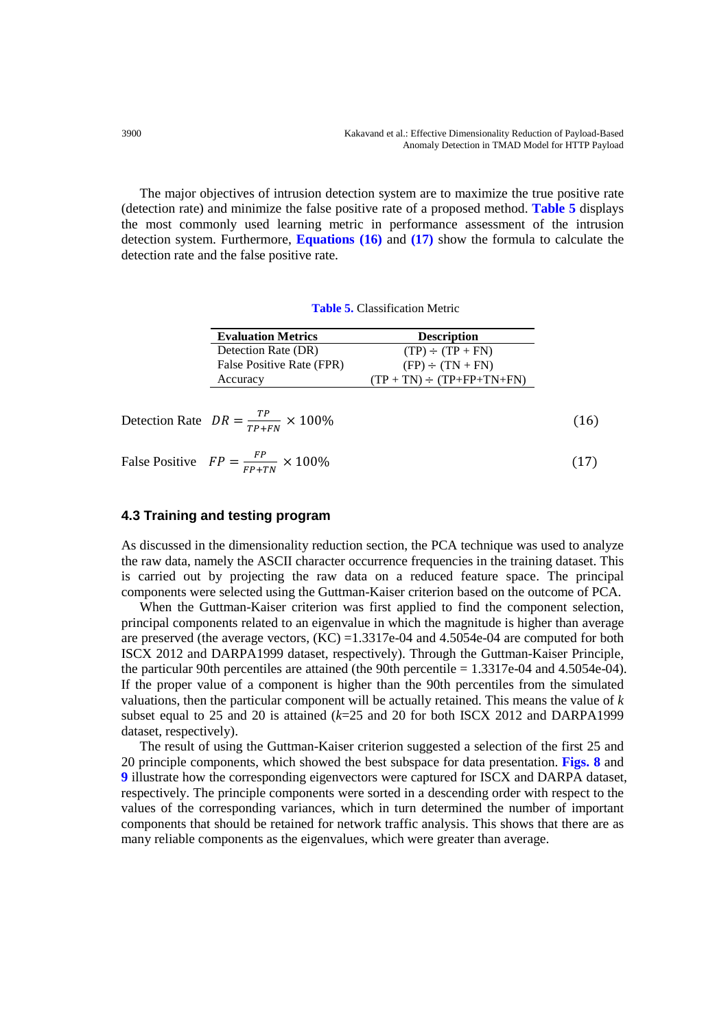The major objectives of intrusion detection system are to maximize the true positive rate (detection rate) and minimize the false positive rate of a proposed method. **Table 5** displays the most commonly used learning metric in performance assessment of the intrusion detection system. Furthermore, **Equations (16)** and **(17)** show the formula to calculate the detection rate and the false positive rate.

**Table 5.** Classification Metric

| <b>Evaluation Metrics</b> | <b>Description</b>                   |
|---------------------------|--------------------------------------|
| Detection Rate (DR)       | $(TP) \div (TP + FN)$                |
| False Positive Rate (FPR) | $(FP) \div (TN + FN)$                |
| Accuracy                  | $(TP + TN) \div (TP + FP + TN + FN)$ |
|                           |                                      |

$$
\text{ Detection Rate} \quad DR = \frac{TP}{TP + FN} \times 100\% \tag{16}
$$

False Positive  $FP = \frac{FP}{FP + TN} \times 100\%$  (17)

## **4.3 Training and testing program**

As discussed in the dimensionality reduction section, the PCA technique was used to analyze the raw data, namely the ASCII character occurrence frequencies in the training dataset. This is carried out by projecting the raw data on a reduced feature space. The principal components were selected using the Guttman-Kaiser criterion based on the outcome of PCA.

When the Guttman-Kaiser criterion was first applied to find the component selection, principal components related to an eigenvalue in which the magnitude is higher than average are preserved (the average vectors,  $(KC) = 1.3317e-04$  and 4.5054e-04 are computed for both ISCX 2012 and DARPA1999 dataset, respectively). Through the Guttman-Kaiser Principle, the particular 90th percentiles are attained (the 90th percentile = 1.3317e-04 and 4.5054e-04). If the proper value of a component is higher than the 90th percentiles from the simulated valuations, then the particular component will be actually retained. This means the value of *k* subset equal to 25 and 20 is attained (*k*=25 and 20 for both ISCX 2012 and DARPA1999 dataset, respectively).

The result of using the Guttman-Kaiser criterion suggested a selection of the first 25 and 20 principle components, which showed the best subspace for data presentation. **Figs. 8** and **9** illustrate how the corresponding eigenvectors were captured for ISCX and DARPA dataset, respectively. The principle components were sorted in a descending order with respect to the values of the corresponding variances, which in turn determined the number of important components that should be retained for network traffic analysis. This shows that there are as many reliable components as the eigenvalues, which were greater than average.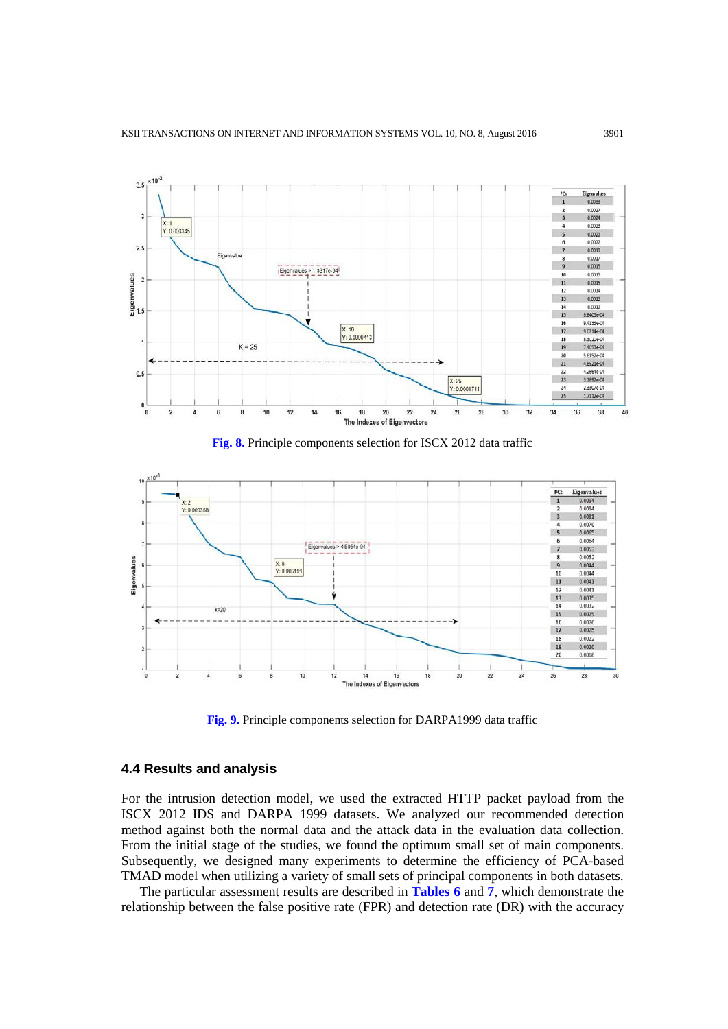

**Fig. 8.** Principle components selection for ISCX 2012 data traffic



**Fig. 9.** Principle components selection for DARPA1999 data traffic

#### **4.4 Results and analysis**

For the intrusion detection model, we used the extracted HTTP packet payload from the ISCX 2012 IDS and DARPA 1999 datasets. We analyzed our recommended detection method against both the normal data and the attack data in the evaluation data collection. From the initial stage of the studies, we found the optimum small set of main components. Subsequently, we designed many experiments to determine the efficiency of PCA-based TMAD model when utilizing a variety of small sets of principal components in both datasets.

The particular assessment results are described in **Tables 6** and **7**, which demonstrate the relationship between the false positive rate (FPR) and detection rate (DR) with the accuracy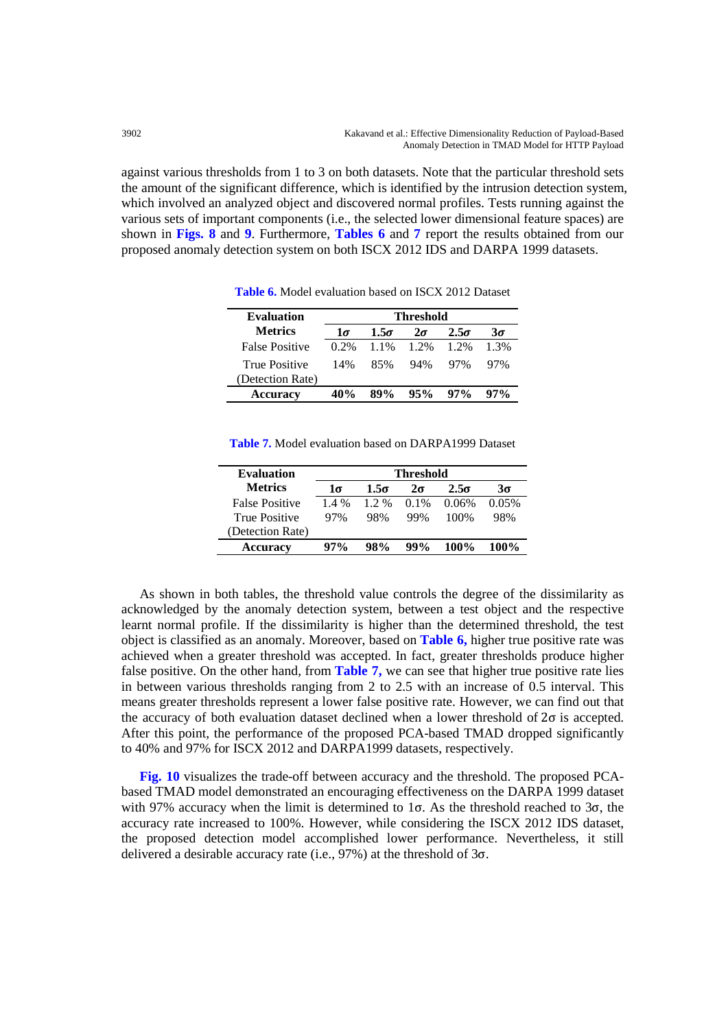against various thresholds from 1 to 3 on both datasets. Note that the particular threshold sets the amount of the significant difference, which is identified by the intrusion detection system, which involved an analyzed object and discovered normal profiles. Tests running against the various sets of important components (i.e., the selected lower dimensional feature spaces) are shown in **Figs. 8** and **9**. Furthermore, **Tables 6** and **7** report the results obtained from our proposed anomaly detection system on both ISCX 2012 IDS and DARPA 1999 datasets.

| <b>Evaluation</b>                        | Threshold |             |           |             |           |  |  |
|------------------------------------------|-----------|-------------|-----------|-------------|-----------|--|--|
| <b>Metrics</b>                           | $1\sigma$ | $1.5\sigma$ | $2\sigma$ | $2.5\sigma$ | $3\sigma$ |  |  |
| <b>False Positive</b>                    | $0.2\%$   | $11\%$      | 1.2%      | 1.2%        | $1.3\%$   |  |  |
| <b>True Positive</b><br>(Detection Rate) | 14%       | 85%         | 94%       | 97%         | 97%       |  |  |
| <b>Accuracy</b>                          | 40%       |             | 95%       | $97\%$      | 97%       |  |  |

**Table 6.** Model evaluation based on ISCX 2012 Dataset

| <b>Table 7.</b> Model evaluation based on DARPA1999 Dataset |  |
|-------------------------------------------------------------|--|
|-------------------------------------------------------------|--|

| <b>Evaluation</b>     | <b>Threshold</b> |         |           |             |       |  |  |  |
|-----------------------|------------------|---------|-----------|-------------|-------|--|--|--|
| <b>Metrics</b>        | 1σ               | 1.5σ    | $2\sigma$ | $2.5\sigma$ | 3σ    |  |  |  |
| <b>False Positive</b> | $1.4\%$          | $1.2\%$ | $0.1\%$   | 0.06%       | 0.05% |  |  |  |
| <b>True Positive</b>  | 97%              | 98%     | 99%       | 100%        | 98%   |  |  |  |
| (Detection Rate)      |                  |         |           |             |       |  |  |  |
| <b>Accuracy</b>       | $97\%$           | $98\%$  | $99\%$    | 100%        | 100%  |  |  |  |

As shown in both tables, the threshold value controls the degree of the dissimilarity as acknowledged by the anomaly detection system, between a test object and the respective learnt normal profile. If the dissimilarity is higher than the determined threshold, the test object is classified as an anomaly. Moreover, based on **Table 6,** higher true positive rate was achieved when a greater threshold was accepted. In fact, greater thresholds produce higher false positive. On the other hand, from **Table 7,** we can see that higher true positive rate lies in between various thresholds ranging from 2 to 2.5 with an increase of 0.5 interval. This means greater thresholds represent a lower false positive rate. However, we can find out that the accuracy of both evaluation dataset declined when a lower threshold of  $2\sigma$  is accepted. After this point, the performance of the proposed PCA-based TMAD dropped significantly to 40% and 97% for ISCX 2012 and DARPA1999 datasets, respectively.

**Fig. 10** visualizes the trade-off between accuracy and the threshold. The proposed PCAbased TMAD model demonstrated an encouraging effectiveness on the DARPA 1999 dataset with 97% accuracy when the limit is determined to  $1\sigma$ . As the threshold reached to  $3\sigma$ , the accuracy rate increased to 100%. However, while considering the ISCX 2012 IDS dataset, the proposed detection model accomplished lower performance. Nevertheless, it still delivered a desirable accuracy rate (i.e., 97%) at the threshold of 3σ.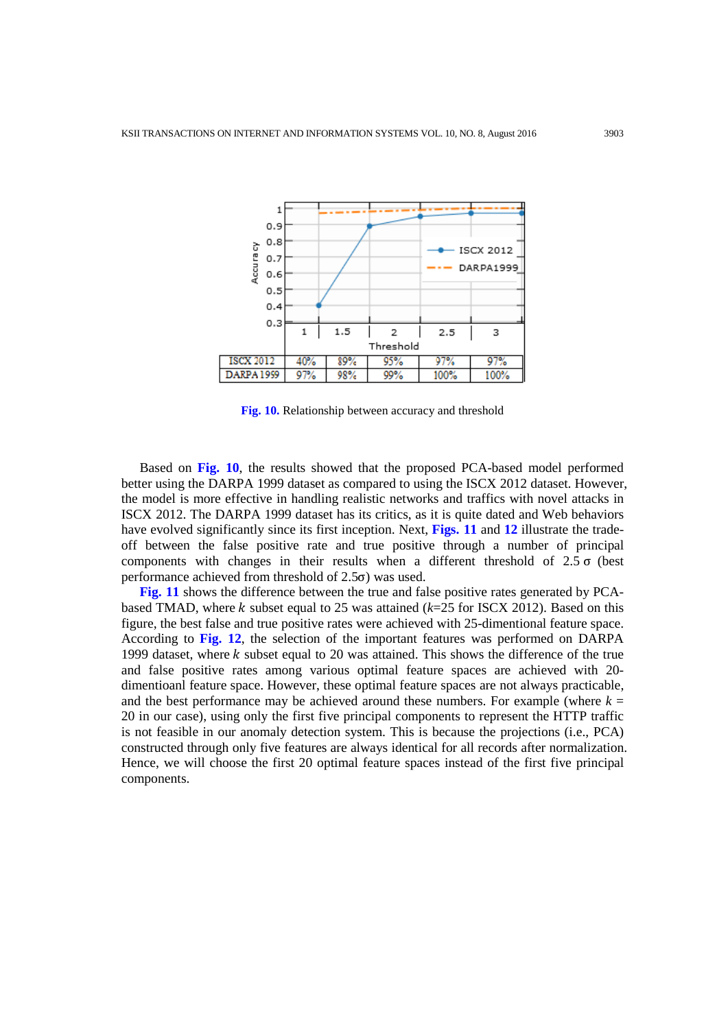

**Fig. 10.** Relationship between accuracy and threshold

Based on **Fig. 10**, the results showed that the proposed PCA-based model performed better using the DARPA 1999 dataset as compared to using the ISCX 2012 dataset. However, the model is more effective in handling realistic networks and traffics with novel attacks in ISCX 2012. The DARPA 1999 dataset has its critics, as it is quite dated and Web behaviors have evolved significantly since its first inception. Next, **Figs. 11** and **12** illustrate the tradeoff between the false positive rate and true positive through a number of principal components with changes in their results when a different threshold of 2.5 σ (best performance achieved from threshold of 2.5σ) was used.

**Fig. 11** shows the difference between the true and false positive rates generated by PCAbased TMAD, where  $k$  subset equal to 25 was attained ( $k=25$  for ISCX 2012). Based on this figure, the best false and true positive rates were achieved with 25-dimentional feature space. According to **Fig. 12**, the selection of the important features was performed on DARPA 1999 dataset, where  $k$  subset equal to 20 was attained. This shows the difference of the true and false positive rates among various optimal feature spaces are achieved with 20 dimentioanl feature space. However, these optimal feature spaces are not always practicable, and the best performance may be achieved around these numbers. For example (where  $k =$ 20 in our case), using only the first five principal components to represent the HTTP traffic is not feasible in our anomaly detection system. This is because the projections (i.e., PCA) constructed through only five features are always identical for all records after normalization. Hence, we will choose the first 20 optimal feature spaces instead of the first five principal components.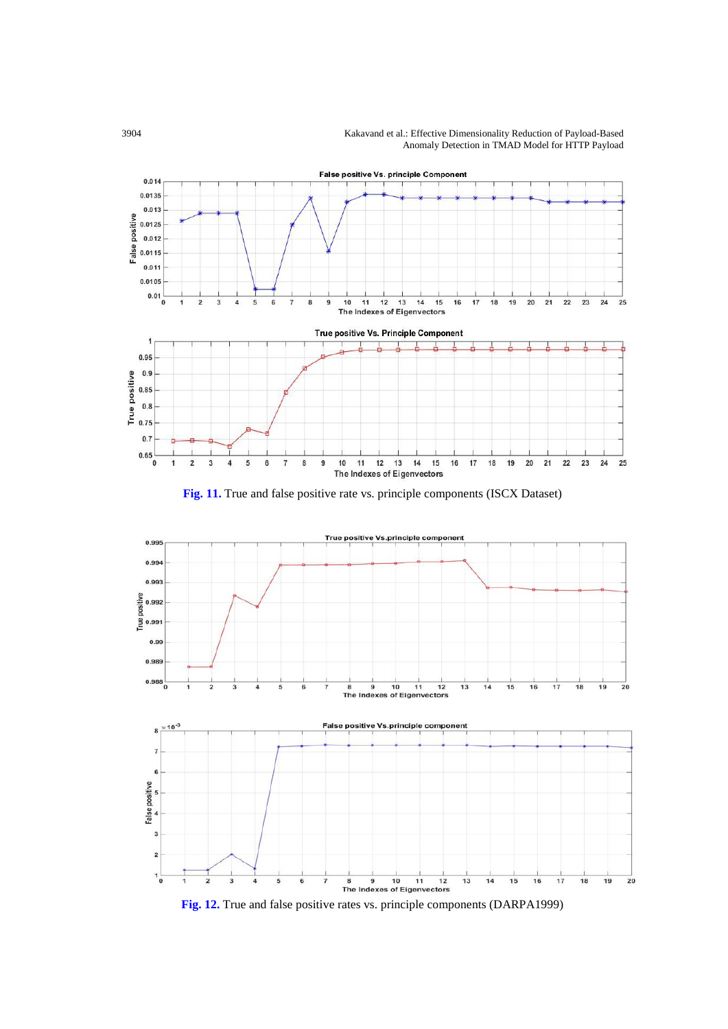3904 Kakavand et al.: Effective Dimensionality Reduction of Payload-Based Anomaly Detection in TMAD Model for HTTP Payload



**Fig. 11.** True and false positive rate vs. principle components (ISCX Dataset)



**Fig. 12.** True and false positive rates vs. principle components (DARPA1999)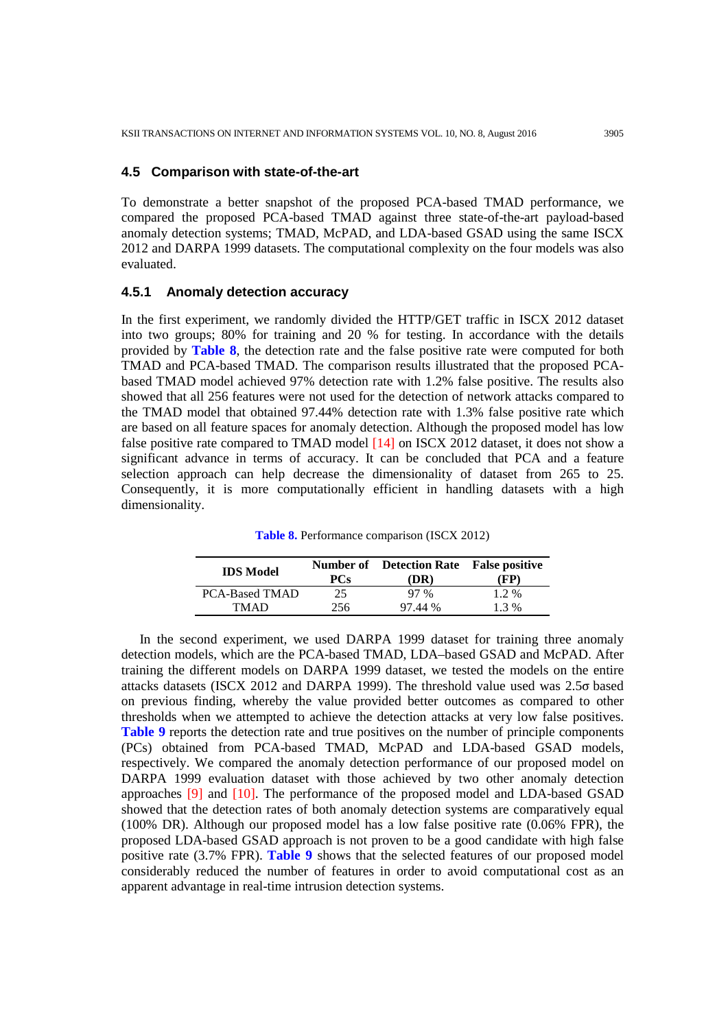#### **4.5 Comparison with state-of-the-art**

To demonstrate a better snapshot of the proposed PCA-based TMAD performance, we compared the proposed PCA-based TMAD against three state-of-the-art payload-based anomaly detection systems; TMAD, McPAD, and LDA-based GSAD using the same ISCX 2012 and DARPA 1999 datasets. The computational complexity on the four models was also evaluated.

## **4.5.1 Anomaly detection accuracy**

In the first experiment, we randomly divided the HTTP/GET traffic in ISCX 2012 dataset into two groups; 80% for training and 20 % for testing. In accordance with the details provided by **Table 8**, the detection rate and the false positive rate were computed for both TMAD and PCA-based TMAD. The comparison results illustrated that the proposed PCAbased TMAD model achieved 97% detection rate with 1.2% false positive. The results also showed that all 256 features were not used for the detection of network attacks compared to the TMAD model that obtained 97.44% detection rate with 1.3% false positive rate which are based on all feature spaces for anomaly detection. Although the proposed model has low false positive rate compared to TMAD model [14] on ISCX 2012 dataset, it does not show a significant advance in terms of accuracy. It can be concluded that PCA and a feature selection approach can help decrease the dimensionality of dataset from 265 to 25. Consequently, it is more computationally efficient in handling datasets with a high dimensionality.

**Table 8.** Performance comparison (ISCX 2012)

| <b>IDS</b> Model      | <b>PCs</b> | <b>Number of</b> Detection Rate False positive<br>(DR) | (FP)    |
|-----------------------|------------|--------------------------------------------------------|---------|
| <b>PCA-Based TMAD</b> | 25         | $97\%$                                                 | $1.2\%$ |
| <b>TMAD</b>           | 256        | 97.44 %                                                | $1.3\%$ |

In the second experiment, we used DARPA 1999 dataset for training three anomaly detection models, which are the PCA-based TMAD, LDA–based GSAD and McPAD. After training the different models on DARPA 1999 dataset, we tested the models on the entire attacks datasets (ISCX 2012 and DARPA 1999). The threshold value used was 2.5σ based on previous finding, whereby the value provided better outcomes as compared to other thresholds when we attempted to achieve the detection attacks at very low false positives. **Table 9** reports the detection rate and true positives on the number of principle components (PCs) obtained from PCA-based TMAD, McPAD and LDA-based GSAD models, respectively. We compared the anomaly detection performance of our proposed model on DARPA 1999 evaluation dataset with those achieved by two other anomaly detection approaches [9] and [10]. The performance of the proposed model and LDA-based GSAD showed that the detection rates of both anomaly detection systems are comparatively equal (100% DR). Although our proposed model has a low false positive rate (0.06% FPR), the proposed LDA-based GSAD approach is not proven to be a good candidate with high false positive rate (3.7% FPR). **Table 9** shows that the selected features of our proposed model considerably reduced the number of features in order to avoid computational cost as an apparent advantage in real-time intrusion detection systems.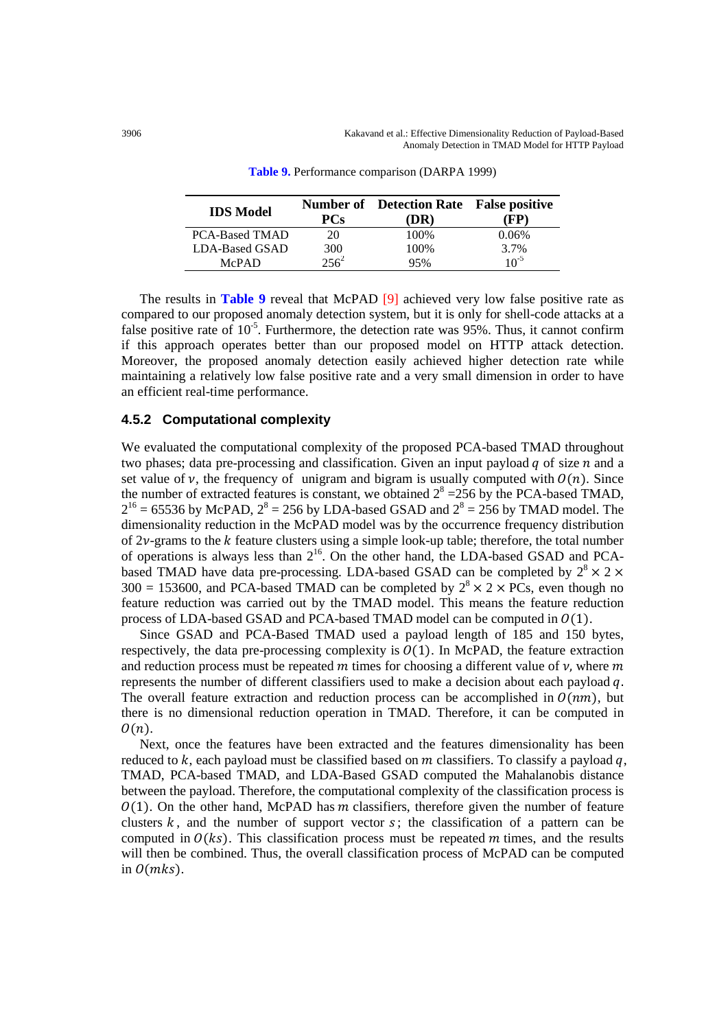| <b>IDS</b> Model      | <b>PCs</b> | <b>Number of</b> Detection Rate False positive<br>(DR) | FP)       |
|-----------------------|------------|--------------------------------------------------------|-----------|
| <b>PCA-Based TMAD</b> | 20         | 100%                                                   | 0.06%     |
| LDA-Based GSAD        | 300        | 100%                                                   | 3.7%      |
| <b>McPAD</b>          | $2.56^{2}$ | 95%                                                    | $10^{-5}$ |

**Table 9.** Performance comparison (DARPA 1999)

The results in **Table 9** reveal that McPAD [9] achieved very low false positive rate as compared to our proposed anomaly detection system, but it is only for shell-code attacks at a false positive rate of  $10^{-5}$ . Furthermore, the detection rate was 95%. Thus, it cannot confirm if this approach operates better than our proposed model on HTTP attack detection. Moreover, the proposed anomaly detection easily achieved higher detection rate while maintaining a relatively low false positive rate and a very small dimension in order to have an efficient real-time performance.

#### **4.5.2 Computational complexity**

We evaluated the computational complexity of the proposed PCA-based TMAD throughout two phases; data pre-processing and classification. Given an input payload  $q$  of size  $n$  and a set value of  $\nu$ , the frequency of unigram and bigram is usually computed with  $O(n)$ . Since the number of extracted features is constant, we obtained  $2^8 = 256$  by the PCA-based TMAD,  $2^{16}$  = 65536 by McPAD,  $2^8$  = 256 by LDA-based GSAD and  $2^8$  = 256 by TMAD model. The dimensionality reduction in the McPAD model was by the occurrence frequency distribution of  $2\nu$ -grams to the k feature clusters using a simple look-up table; therefore, the total number of operations is always less than  $2^{16}$ . On the other hand, the LDA-based GSAD and PCAbased TMAD have data pre-processing. LDA-based GSAD can be completed by  $2^8 \times 2 \times$ 300 = 153600, and PCA-based TMAD can be completed by  $2^8 \times 2 \times P$ Cs, even though no feature reduction was carried out by the TMAD model. This means the feature reduction process of LDA-based GSAD and PCA-based TMAD model can be computed in  $O(1)$ .

Since GSAD and PCA-Based TMAD used a payload length of 185 and 150 bytes, respectively, the data pre-processing complexity is  $O(1)$ . In McPAD, the feature extraction and reduction process must be repeated m times for choosing a different value of  $\nu$ , where m represents the number of different classifiers used to make a decision about each payload  $q$ . The overall feature extraction and reduction process can be accomplished in  $O(nm)$ , but there is no dimensional reduction operation in TMAD. Therefore, it can be computed in  $O(n)$ .

Next, once the features have been extracted and the features dimensionality has been reduced to k, each payload must be classified based on m classifiers. To classify a payload q, TMAD, PCA-based TMAD, and LDA-Based GSAD computed the Mahalanobis distance between the payload. Therefore, the computational complexity of the classification process is  $(0, 1)$ . On the other hand, McPAD has m classifiers, therefore given the number of feature clusters  $k$ , and the number of support vector  $s$ ; the classification of a pattern can be computed in  $O(ks)$ . This classification process must be repeated m times, and the results will then be combined. Thus, the overall classification process of McPAD can be computed in  $O(mks)$ .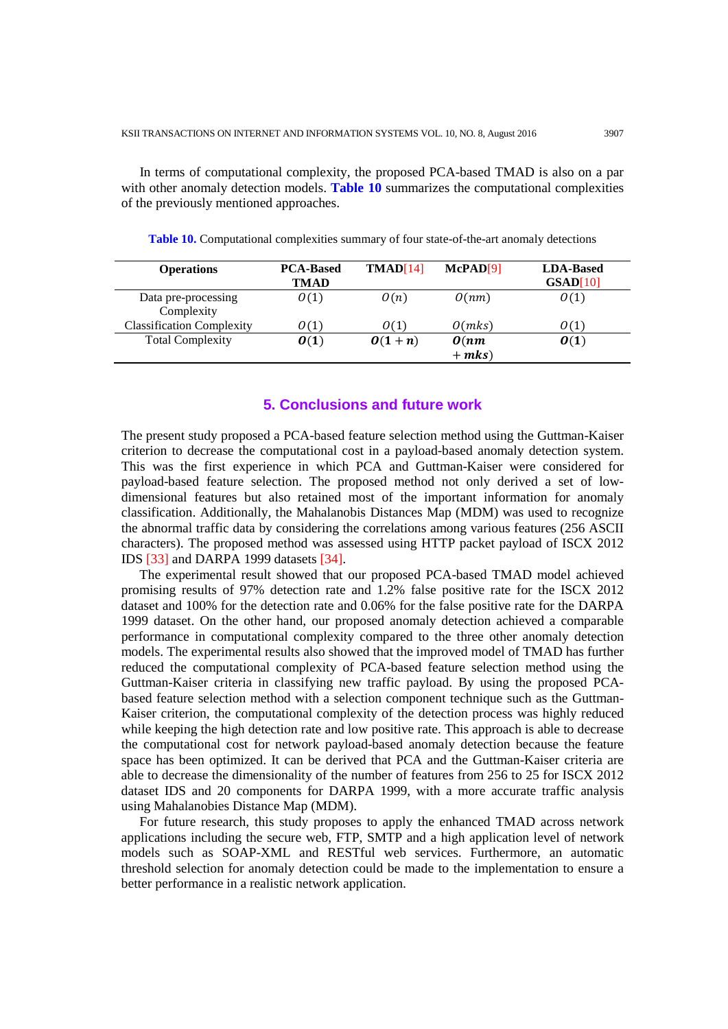In terms of computational complexity, the proposed PCA-based TMAD is also on a par with other anomaly detection models. **Table 10** summarizes the computational complexities of the previously mentioned approaches.

**Table 10.** Computational complexities summary of four state-of-the-art anomaly detections

| <b>Operations</b>                | <b>PCA-Based</b><br>TMAD | TMAD[14] | McPAD[9] | <b>LDA-Based</b><br>GSAD[10] |
|----------------------------------|--------------------------|----------|----------|------------------------------|
| Data pre-processing              | O(1)                     | O(n)     | O(nm)    | O(1)                         |
| Complexity                       |                          |          |          |                              |
| <b>Classification Complexity</b> | O(1)                     | O(1)     | O(mks)   | O(1)                         |
| <b>Total Complexity</b>          | O(1)                     | $0(1+n)$ | O(nm)    | $\boldsymbol{0}(1)$          |
|                                  |                          |          | $+$ mks) |                              |

## **5. Conclusions and future work**

The present study proposed a PCA-based feature selection method using the Guttman-Kaiser criterion to decrease the computational cost in a payload-based anomaly detection system. This was the first experience in which PCA and Guttman-Kaiser were considered for payload-based feature selection. The proposed method not only derived a set of lowdimensional features but also retained most of the important information for anomaly classification. Additionally, the Mahalanobis Distances Map (MDM) was used to recognize the abnormal traffic data by considering the correlations among various features (256 ASCII characters). The proposed method was assessed using HTTP packet payload of ISCX 2012 IDS [33] and DARPA 1999 datasets [34].

The experimental result showed that our proposed PCA-based TMAD model achieved promising results of 97% detection rate and 1.2% false positive rate for the ISCX 2012 dataset and 100% for the detection rate and 0.06% for the false positive rate for the DARPA 1999 dataset. On the other hand, our proposed anomaly detection achieved a comparable performance in computational complexity compared to the three other anomaly detection models. The experimental results also showed that the improved model of TMAD has further reduced the computational complexity of PCA-based feature selection method using the Guttman-Kaiser criteria in classifying new traffic payload. By using the proposed PCAbased feature selection method with a selection component technique such as the Guttman-Kaiser criterion, the computational complexity of the detection process was highly reduced while keeping the high detection rate and low positive rate. This approach is able to decrease the computational cost for network payload-based anomaly detection because the feature space has been optimized. It can be derived that PCA and the Guttman-Kaiser criteria are able to decrease the dimensionality of the number of features from 256 to 25 for ISCX 2012 dataset IDS and 20 components for DARPA 1999, with a more accurate traffic analysis using Mahalanobies Distance Map (MDM).

For future research, this study proposes to apply the enhanced TMAD across network applications including the secure web, FTP, SMTP and a high application level of network models such as SOAP-XML and RESTful web services. Furthermore, an automatic threshold selection for anomaly detection could be made to the implementation to ensure a better performance in a realistic network application.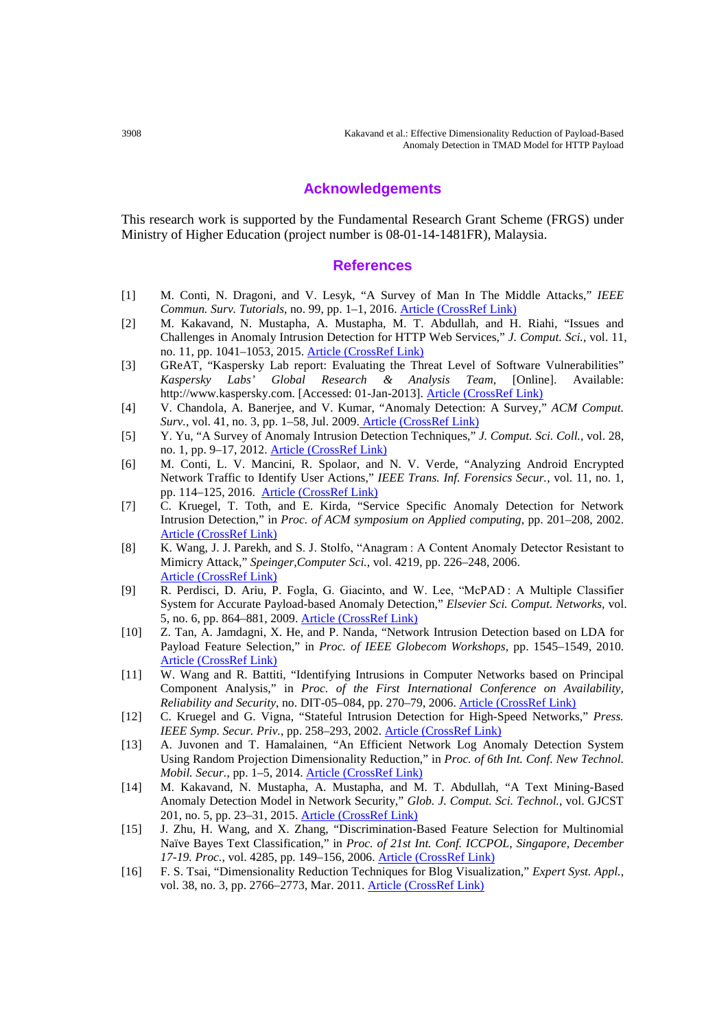#### **Acknowledgements**

This research work is supported by the Fundamental Research Grant Scheme (FRGS) under Ministry of Higher Education (project number is 08-01-14-1481FR), Malaysia.

#### **References**

- [1] M. Conti, N. Dragoni, and V. Lesyk, "A Survey of Man In The Middle Attacks," *IEEE Commun. Surv. Tutorials*, no. 99, pp. 1–1, 2016. [Article \(CrossRef Link\)](http://dx.doi.org/10.1109/COMST.2016.2548426)
- [2] M. Kakavand, N. Mustapha, A. Mustapha, M. T. Abdullah, and H. Riahi, "Issues and Challenges in Anomaly Intrusion Detection for HTTP Web Services," *J. Comput. Sci.*, vol. 11, no. 11, pp. 1041–1053, 2015[.](http://dx.doi.org/10.3844/jcssp.2015.1041.1053) [Article \(CrossRef Link\)](http://dx.doi.org/10.3844/jcssp.2015.1041.1053)
- [3] GReAT, "Kaspersky Lab report: Evaluating the Threat Level of Software Vulnerabilities" *Kaspersky Labs' Global Research & Analysis Team*, [Online]. Available: http://www.kaspersky.com. [Accessed: 01-Jan-2013]. [Article \(CrossRef Link\)](https://securelist.com/analysis/publications/36822/kaspersky-lab-report-evaluating-the-threat-level-of-software-vulnerabilities/)
- [4] V. Chandola, A. Banerjee, and V. Kumar, "Anomaly Detection: A Survey," *ACM Comput. Surv.*, vol. 41, no. 3, pp. 1–58, Jul. 2009. [Article \(CrossRef Link\)](http://dx.doi.org/10.1145/1541880.1541882)
- [5] Y. Yu, "A Survey of Anomaly Intrusion Detection Techniques," *J. Comput. Sci. Coll.*, vol. 28, no. 1, pp. 9–17, 2012. [Article \(CrossRef Link\)](http://dl.acm.org/citation.cfm?id=2379707)
- [6] M. Conti, L. V. Mancini, R. Spolaor, and N. V. Verde, "Analyzing Android Encrypted Network Traffic to Identify User Actions," *IEEE Trans. Inf. Forensics Secur.*, vol. 11, no. 1, pp. 114–125, 2016. [Article \(CrossRef Link\)](http://dx.doi.org/10.1109/TIFS.2015.2478741)
- [7] C. Kruegel, T. Toth, and E. Kirda, "Service Specific Anomaly Detection for Network Intrusion Detection," in *Proc. of ACM symposium on Applied computing*, pp. 201–208, 2002. [Article \(CrossRef Link\)](http://dx.doi.org/10.1145/508791.508835)
- [8] K. Wang, J. J. Parekh, and S. J. Stolfo, "Anagram : A Content Anomaly Detector Resistant to Mimicry Attack," *Speinger,Computer Sci.*, vol. 4219, pp. 226–248, 2006. [Article \(CrossRef Link\)](http://dx.doi.org/10.1007/11856214_12)
- [9] R. Perdisci, D. Ariu, P. Fogla, G. Giacinto, and W. Lee, "McPAD : A Multiple Classifier System for Accurate Payload-based Anomaly Detection," *Elsevier Sci. Comput. Networks,* vol. 5, no. 6, pp. 864–881, 2009. [Article \(CrossRef Link\)](http://dx.doi.org/10.1016/j.comnet.2008.11.011)
- [10] Z. Tan, A. Jamdagni, X. He, and P. Nanda, "Network Intrusion Detection based on LDA for Payload Feature Selection," in *Proc. of IEEE Globecom Workshops*, pp. 1545–1549, 2010. [Article \(CrossRef Link\)](http://dx.doi.org/10.1109/glocomw.2010.5700198)
- [11] W. Wang and R. Battiti, "Identifying Intrusions in Computer Networks based on Principal Component Analysis," in *Proc. of the First International Conference on Availability, Reliability and Security*, no. DIT-05–084, pp. 270–79, 2006[. Article \(CrossRef Link\)](http://ieeexplore.ieee.org/xpl/articleDetails.jsp?arnumber=1625320&newsearch=true&queryText=W.%20Wang%20and%20R.%20Battiti,%20%E2%80%9CIdentifying%20Intrusions%20in%20Computer%20Networks%20based%20on%20Principal%20Component%20Analysis,%E2%80%9D%20in%20Proceedings%20of%20the%20First%20International%20Conference%20on%20Availability,%20Reliability%20and%20Security,%20no.%20DIT-05%E2%80%93084,%20pp.%20270%E2%80%9379,%202006.)
- [12] C. Kruegel and G. Vigna, "Stateful Intrusion Detection for High-Speed Networks," *Press. IEEE Symp. Secur. Priv.*, pp. 258–293, 2002[. Article \(CrossRef Link\)](http://ieeexplore.ieee.org/search/searchresult.jsp?newsearch=true&queryText=C.%20Kruegel%20and%20G.%20Vigna,%20%E2%80%9CStateful%20Intrusion%20Detection%20for%20High-Speed%20Networks,%E2%80%9D%20Press.%20IEEE%20Symp.%20Secur.%20Priv.,%20pp.%20258%E2%80%93293,%202002)
- [13] A. Juvonen and T. Hamalainen, "An Efficient Network Log Anomaly Detection System Using Random Projection Dimensionality Reduction," in *Proc. of 6th Int. Conf. New Technol. Mobil. Secur.*, pp. 1–5, 2014. [Article \(CrossRef Link\)](http://dx.doi.org/10.1109/ntms.2014.6814006)
- [14] M. Kakavand, N. Mustapha, A. Mustapha, and M. T. Abdullah, "A Text Mining-Based Anomaly Detection Model in Network Security," *Glob. J. Comput. Sci. Technol.*, vol. GJCST 201, no. 5, pp. 23–31, 2015. [Article \(CrossRef Link\)](https://globaljournals.org/GJCST_Volume14/4-A-Text-Mining-based-Anomaly-Detection.pdf)
- [15] J. Zhu, H. Wang, and X. Zhang, "Discrimination-Based Feature Selection for Multinomial Naïve Bayes Text Classification," in *Proc. of 21st Int. Conf. ICCPOL, Singapore, December 17-19. Proc.*, vol. 4285, pp. 149–156, 2006. [Article \(CrossRef Link\)](http://dx.doi.org/10.1007/11940098_15)
- [16] F. S. Tsai, "Dimensionality Reduction Techniques for Blog Visualization," *Expert Syst. Appl.*, vol. 38, no. 3, pp. 2766–2773, Mar. 2011[. Article \(CrossRef Link\)](http://dx.doi.org/10.1016/j.eswa.2010.08.067)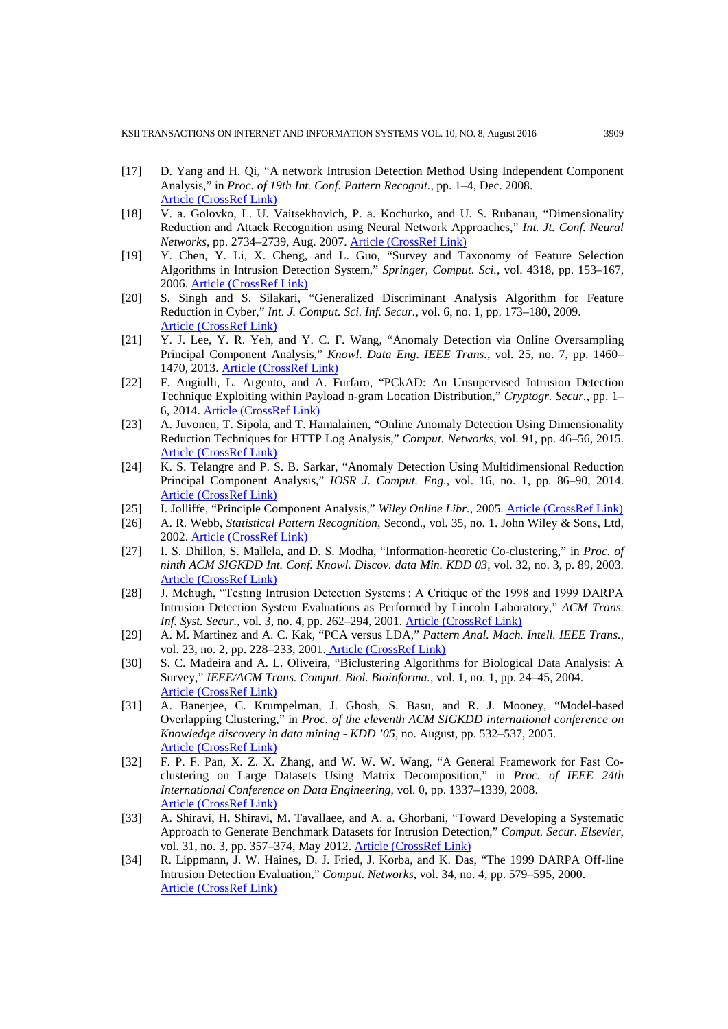- [17] D. Yang and H. Qi, "A network Intrusion Detection Method Using Independent Component Analysis," in *Proc. of 19th Int. Conf. Pattern Recognit.*, pp. 1–4, Dec. 2008. [Article \(CrossRef Link\)](http://ieeexplore.ieee.org/xpl/login.jsp?tp=&arnumber=4761087&url=http%3A%2F%2Fieeexplore.ieee.org%2Fxpls%2Fabs_all.jsp%3Farnumber%3D4761087)
- [18] V. a. Golovko, L. U. Vaitsekhovich, P. a. Kochurko, and U. S. Rubanau, "Dimensionality Reduction and Attack Recognition using Neural Network Approaches," *Int. Jt. Conf. Neural Networks*, pp. 2734–2739, Aug. 2007. [Article \(CrossRef Link\)](http://dx.doi.org/10.1109/ijcnn.2007.4371391)
- [19] Y. Chen, Y. Li, X. Cheng, and L. Guo, "Survey and Taxonomy of Feature Selection Algorithms in Intrusion Detection System," *Springer, Comput. Sci.*, vol. 4318, pp. 153–167, 2006. [Article \(CrossRef Link\)](http://link.springer.com/chapter/10.1007%2F11937807_13)
- [20] S. Singh and S. Silakari, "Generalized Discriminant Analysis Algorithm for Feature Reduction in Cyber," *Int. J. Comput. Sci. Inf. Secur.*, vol. 6, no. 1, pp. 173–180, 2009. [Article \(CrossRef Link\)](https://arxiv.org/ftp/arxiv/papers/0911/0911.0787.pdf)
- [21] Y. J. Lee, Y. R. Yeh, and Y. C. F. Wang, "Anomaly Detection via Online Oversampling Principal Component Analysis," *Knowl. Data Eng. IEEE Trans.*, vol. 25, no. 7, pp. 1460– 1470, 2013. [Article \(CrossRef Link\)](http://dx.doi.org/10.1109/TKDE.2012.99)
- [22] F. Angiulli, L. Argento, and A. Furfaro, "PCkAD: An Unsupervised Intrusion Detection Technique Exploiting within Payload n-gram Location Distribution," *Cryptogr. Secur.*, pp. 1– 6, 2014. [Article \(CrossRef Link\)](http://arxiv.org/pdf/1412.3664v2.pdf)
- [23] A. Juvonen, T. Sipola, and T. Hamalainen, "Online Anomaly Detection Using Dimensionality Reduction Techniques for HTTP Log Analysis," *Comput. Networks*, vol. 91, pp. 46–56, 2015. [Article \(CrossRef Link\)](http://dx.doi.org/10.1016/j.comnet.2015.07.019)
- [24] K. S. Telangre and P. S. B. Sarkar, "Anomaly Detection Using Multidimensional Reduction Principal Component Analysis," *IOSR J. Comput. Eng.*, vol. 16, no. 1, pp. 86–90, 2014. [Article \(CrossRef Link\)](http://dx.doi.org/10.9790/0661-16128690)
- [25] I. Jolliffe, "Principle Component Analysis," *Wiley Online Libr.*, 2005. [Article \(CrossRef Link\)](http://tocs.ulb.tu-darmstadt.de/182444961.pdf)
- [26] A. R. Webb, *Statistical Pattern Recognition*, Second., vol. 35, no. 1. John Wiley & Sons, Ltd, 2002. [Article \(CrossRef Link\)](http://www.ccas.ru/voron/download/books/machlearn/webb02statistical.pdf)
- [27] I. S. Dhillon, S. Mallela, and D. S. Modha, "Information-heoretic Co-clustering," in *Proc. of ninth ACM SIGKDD Int. Conf. Knowl. Discov. data Min. KDD 03*, vol. 32, no. 3, p. 89, 2003. [Article \(CrossRef Link\)](http://dl.acm.org/citation.cfm?id=956764)
- [28] J. Mchugh, "Testing Intrusion Detection Systems : A Critique of the 1998 and 1999 DARPA Intrusion Detection System Evaluations as Performed by Lincoln Laboratory," *ACM Trans. Inf. Syst. Secur.*, vol. 3, no. 4, pp. 262–294, 2001[. Article \(CrossRef Link\)](http://dx.doi.org/10.1145/382912.382923)
- [29] A. M. Martinez and A. C. Kak, "PCA versus LDA," *Pattern Anal. Mach. Intell. IEEE Trans.*, vol. 23, no. 2, pp. 228–233, 2001. [Article \(CrossRef Link\)](http://dx.doi.org/10.1109/34.908974)
- [30] S. C. Madeira and A. L. Oliveira, "Biclustering Algorithms for Biological Data Analysis: A Survey," *IEEE/ACM Trans. Comput. Biol. Bioinforma.*, vol. 1, no. 1, pp. 24–45, 2004. [Article \(CrossRef Link\)](http://dl.acm.org/citation.cfm?id=1024313)
- [31] A. Banerjee, C. Krumpelman, J. Ghosh, S. Basu, and R. J. Mooney, "Model-based Overlapping Clustering," in *Proc. of the eleventh ACM SIGKDD international conference on Knowledge discovery in data mining - KDD '05*, no. August, pp. 532–537, 2005. [Article \(CrossRef Link\)](http://dx.doi.org/10.1145/1081870.1081932)
- [32] F. P. F. Pan, X. Z. X. Zhang, and W. W. W. Wang, "A General Framework for Fast Coclustering on Large Datasets Using Matrix Decomposition," in *Proc. of IEEE 24th International Conference on Data Engineering*, vol. 0, pp. 1337–1339, 2008. [Article \(CrossRef Link\)](http://dx.doi.org/10.1109/icde.2008.4497548)
- [33] A. Shiravi, H. Shiravi, M. Tavallaee, and A. a. Ghorbani, "Toward Developing a Systematic Approach to Generate Benchmark Datasets for Intrusion Detection," *Comput. Secur. Elsevier*, vol. 31, no. 3, pp. 357–374, May 2012. [Article \(CrossRef Link\)](http://dx.doi.org/10.1016/j.cose.2011.12.012)
- [34] R. Lippmann, J. W. Haines, D. J. Fried, J. Korba, and K. Das, "The 1999 DARPA Off-line Intrusion Detection Evaluation," *Comput. Networks*, vol. 34, no. 4, pp. 579–595, 2000. [Article \(CrossRef Link\)](http://dx.doi.org/10.1016/S1389-1286(00)00139-0)